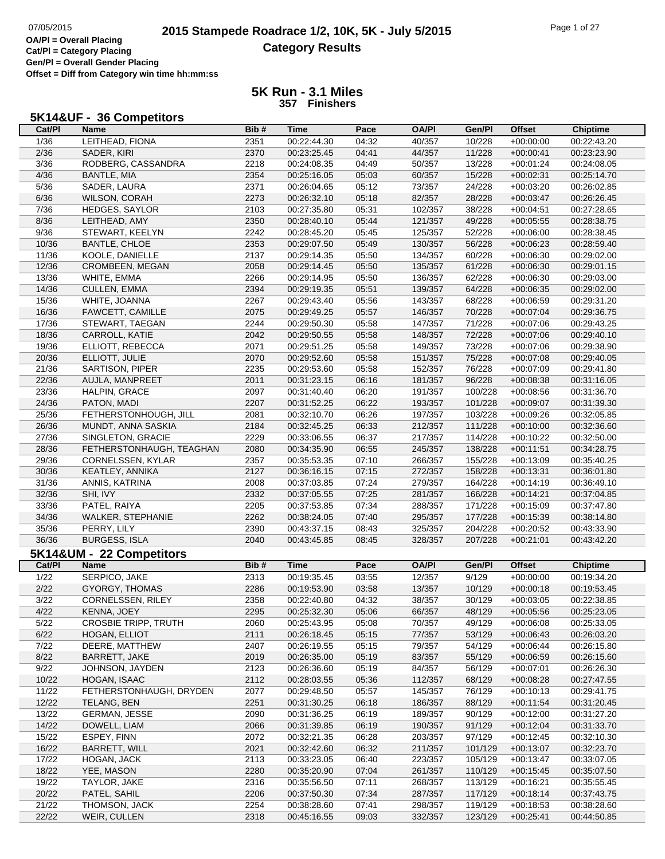# **2015 Stampede Roadrace 1/2, 10K, 5K - July 5/2015** Page 1 of 27<br> **2015 Stampede Roadrace 1/2, 10K, 5K - July 5/2015 Category Results**

**Cat/Pl = Category Placing Gen/Pl = Overall Gender Placing Offset = Diff from Category win time hh:mm:ss**

#### **5K Run - 3.1 Miles 357 Finishers**

## **5K14&UF - 36 Competitors**

| Cat/PI         | Name                        | Bib# | Time        | Pace  | <b>OA/PI</b> | Gen/Pl  | <b>Offset</b> | <b>Chiptime</b> |
|----------------|-----------------------------|------|-------------|-------|--------------|---------|---------------|-----------------|
| 1/36           | LEITHEAD, FIONA             | 2351 | 00:22:44.30 | 04:32 | 40/357       | 10/228  | $+00:00:00$   | 00:22:43.20     |
| 2/36           | SADER, KIRI                 | 2370 | 00:23:25.45 | 04:41 | 44/357       | 11/228  | $+00:00:41$   | 00:23:23.90     |
| 3/36           | RODBERG, CASSANDRA          | 2218 | 00:24:08.35 | 04:49 | 50/357       | 13/228  | $+00:01:24$   | 00:24:08.05     |
| 4/36           | BANTLE, MIA                 | 2354 | 00:25:16.05 | 05:03 | 60/357       | 15/228  | $+00:02:31$   | 00:25:14.70     |
| 5/36           |                             | 2371 |             |       |              |         |               |                 |
|                | SADER, LAURA                |      | 00:26:04.65 | 05:12 | 73/357       | 24/228  | $+00:03:20$   | 00:26:02.85     |
| 6/36           | WILSON, CORAH               | 2273 | 00:26:32.10 | 05:18 | 82/357       | 28/228  | $+00:03:47$   | 00:26:26.45     |
| 7/36           | HEDGES, SAYLOR              | 2103 | 00:27:35.80 | 05:31 | 102/357      | 38/228  | $+00:04:51$   | 00:27:28.65     |
| 8/36           | LEITHEAD, AMY               | 2350 | 00:28:40.10 | 05:44 | 121/357      | 49/228  | $+00:05:55$   | 00:28:38.75     |
| 9/36           | STEWART, KEELYN             | 2242 | 00:28:45.20 | 05:45 | 125/357      | 52/228  | $+00:06:00$   | 00:28:38.45     |
| 10/36          | <b>BANTLE, CHLOE</b>        | 2353 | 00:29:07.50 | 05:49 | 130/357      | 56/228  | $+00:06:23$   | 00:28:59.40     |
| 11/36          | KOOLE, DANIELLE             | 2137 | 00:29:14.35 | 05:50 | 134/357      | 60/228  | $+00:06:30$   | 00:29:02.00     |
| 12/36          | CROMBEEN, MEGAN             | 2058 | 00:29:14.45 | 05:50 | 135/357      | 61/228  | $+00:06:30$   | 00:29:01.15     |
| 13/36          | WHITE, EMMA                 | 2266 | 00:29:14.95 | 05:50 | 136/357      | 62/228  | $+00:06:30$   | 00:29:03.00     |
| 14/36          | <b>CULLEN, EMMA</b>         | 2394 | 00:29:19.35 | 05:51 | 139/357      | 64/228  | $+00:06:35$   | 00:29:02.00     |
| 15/36          | WHITE, JOANNA               | 2267 | 00:29:43.40 | 05:56 | 143/357      | 68/228  | $+00:06:59$   | 00:29:31.20     |
| 16/36          | FAWCETT, CAMILLE            | 2075 | 00:29:49.25 | 05:57 | 146/357      | 70/228  | $+00:07:04$   | 00:29:36.75     |
|                |                             |      |             |       |              |         |               |                 |
| 17/36          | STEWART, TAEGAN             | 2244 | 00:29:50.30 | 05:58 | 147/357      | 71/228  | $+00:07:06$   | 00:29:43.25     |
| 18/36          | CARROLL, KATIE              | 2042 | 00:29:50.55 | 05:58 | 148/357      | 72/228  | $+00:07:06$   | 00:29:40.10     |
| 19/36          | ELLIOTT, REBECCA            | 2071 | 00:29:51.25 | 05:58 | 149/357      | 73/228  | $+00:07:06$   | 00:29:38.90     |
| 20/36          | ELLIOTT, JULIE              | 2070 | 00:29:52.60 | 05:58 | 151/357      | 75/228  | $+00:07:08$   | 00:29:40.05     |
| 21/36          | SARTISON, PIPER             | 2235 | 00:29:53.60 | 05:58 | 152/357      | 76/228  | $+00:07:09$   | 00:29:41.80     |
| 22/36          | AUJLA, MANPREET             | 2011 | 00:31:23.15 | 06:16 | 181/357      | 96/228  | $+00:08:38$   | 00:31:16.05     |
| 23/36          | HALPIN, GRACE               | 2097 | 00:31:40.40 | 06:20 | 191/357      | 100/228 | $+00:08:56$   | 00:31:36.70     |
| 24/36          | PATON, MADI                 | 2207 | 00:31:52.25 | 06:22 | 193/357      | 101/228 | $+00:09:07$   | 00:31:39.30     |
| 25/36          | FETHERSTONHOUGH, JILL       | 2081 | 00:32:10.70 | 06:26 | 197/357      | 103/228 | $+00:09:26$   | 00:32:05.85     |
| 26/36          | MUNDT, ANNA SASKIA          | 2184 | 00:32:45.25 | 06:33 | 212/357      | 111/228 | $+00:10:00$   | 00:32:36.60     |
| 27/36          | SINGLETON, GRACIE           | 2229 | 00:33:06.55 | 06:37 | 217/357      | 114/228 | $+00:10:22$   | 00:32:50.00     |
|                |                             |      |             |       | 245/357      |         |               |                 |
| 28/36          | FETHERSTONHAUGH, TEAGHAN    | 2080 | 00:34:35.90 | 06:55 |              | 138/228 | $+00:11:51$   | 00:34:28.75     |
| 29/36          | CORNELSSEN, KYLAR           | 2357 | 00:35:53.35 | 07:10 | 266/357      | 155/228 | $+00:13:09$   | 00:35:40.25     |
| 30/36          | KEATLEY, ANNIKA             | 2127 | 00:36:16.15 | 07:15 | 272/357      | 158/228 | $+00:13:31$   | 00:36:01.80     |
| 31/36          | ANNIS, KATRINA              | 2008 | 00:37:03.85 | 07:24 | 279/357      | 164/228 | $+00:14:19$   | 00:36:49.10     |
| 32/36          | SHI, IVY                    | 2332 | 00:37:05.55 | 07:25 | 281/357      | 166/228 | $+00:14:21$   | 00:37:04.85     |
| 33/36          | PATEL, RAIYA                | 2205 | 00:37:53.85 | 07:34 | 288/357      | 171/228 | $+00:15:09$   | 00:37:47.80     |
| 34/36          | WALKER, STEPHANIE           | 2262 | 00:38:24.05 | 07:40 | 295/357      | 177/228 | $+00:15:39$   | 00:38:14.80     |
| 35/36          | PERRY, LILY                 | 2390 | 00:43:37.15 | 08:43 | 325/357      | 204/228 | $+00:20:52$   | 00:43:33.90     |
| 36/36          | <b>BURGESS, ISLA</b>        | 2040 | 00:43:45.85 | 08:45 | 328/357      | 207/228 | $+00:21:01$   | 00:43:42.20     |
|                | 5K14&UM - 22 Competitors    |      |             |       |              |         |               |                 |
|                |                             | Bib# |             | Pace  | <b>OA/PI</b> | Gen/Pl  | Offset        | <b>Chiptime</b> |
| Cat/PI         | Name                        |      | Time        |       |              |         |               |                 |
| 1/22           | SERPICO, JAKE               |      |             |       |              |         |               |                 |
| 2/22           |                             | 2313 | 00:19:35.45 | 03:55 | 12/357       | 9/129   | $+00:00:00$   | 00:19:34.20     |
|                | <b>GYORGY, THOMAS</b>       | 2286 | 00:19:53.90 | 03:58 | 13/357       | 10/129  | $+00:00:18$   | 00:19:53.45     |
| 3/22           | <b>CORNELSSEN, RILEY</b>    | 2358 | 00:22:40.80 | 04:32 | 38/357       | 30/129  | $+00:03:05$   | 00:22:38.85     |
| 4/22           | KENNA. JOEY                 | 2295 | 00:25:32.30 | 05:06 | 66/357       | 48/129  | $+00:05:56$   | 00:25:23.05     |
| 5/22           | <b>CROSBIE TRIPP, TRUTH</b> | 2060 | 00:25:43.95 | 05:08 | 70/357       | 49/129  | $+00.06.08$   | 00:25:33.05     |
| 6/22           | HOGAN, ELLIOT               | 2111 | 00:26:18.45 | 05:15 | 77/357       | 53/129  | $+00.06.43$   | 00:26:03.20     |
| $7/22$         | DEERE, MATTHEW              | 2407 | 00:26:19.55 | 05:15 | 79/357       | 54/129  | $+00:06:44$   | 00:26:15.80     |
|                |                             |      |             |       |              |         |               |                 |
| 8/22           | BARRETT, JAKE               | 2019 | 00:26:35.00 | 05:19 | 83/357       | 55/129  | $+00:06:59$   | 00:26:15.60     |
| 9/22           | JOHNSON, JAYDEN             | 2123 | 00:26:36.60 | 05:19 | 84/357       | 56/129  | $+00:07:01$   | 00:26:26.30     |
| 10/22          | HOGAN, ISAAC                | 2112 | 00:28:03.55 | 05:36 | 112/357      | 68/129  | $+00:08:28$   | 00:27:47.55     |
| 11/22          | FETHERSTONHAUGH, DRYDEN     | 2077 | 00:29:48.50 | 05:57 | 145/357      | 76/129  | $+00:10:13$   | 00:29:41.75     |
| 12/22          | TELANG, BEN                 | 2251 | 00:31:30.25 | 06:18 | 186/357      | 88/129  | $+00:11:54$   | 00:31:20.45     |
| 13/22          | <b>GERMAN, JESSE</b>        | 2090 | 00:31:36.25 | 06:19 | 189/357      | 90/129  | $+00:12:00$   | 00:31:27.20     |
| 14/22          | DOWELL, LIAM                | 2066 | 00:31:39.85 | 06:19 | 190/357      | 91/129  | $+00:12:04$   | 00:31:33.70     |
| 15/22          | ESPEY, FINN                 | 2072 | 00:32:21.35 | 06:28 | 203/357      | 97/129  | $+00:12:45$   | 00:32:10.30     |
| 16/22          | BARRETT, WILL               | 2021 | 00:32:42.60 | 06:32 | 211/357      | 101/129 | $+00:13:07$   | 00:32:23.70     |
| 17/22          | HOGAN, JACK                 | 2113 | 00:33:23.05 | 06:40 | 223/357      | 105/129 | $+00:13:47$   | 00:33:07.05     |
| 18/22          | YEE, MASON                  | 2280 | 00:35:20.90 | 07:04 | 261/357      | 110/129 | $+00:15:45$   | 00:35:07.50     |
| 19/22          | TAYLOR, JAKE                | 2316 | 00:35:56.50 | 07:11 | 268/357      | 113/129 | $+00:16:21$   | 00:35:55.45     |
| 20/22          | PATEL, SAHIL                | 2206 | 00:37:50.30 | 07:34 | 287/357      | 117/129 | $+00:18:14$   | 00:37:43.75     |
|                | THOMSON, JACK               | 2254 | 00:38:28.60 | 07:41 | 298/357      | 119/129 | $+00:18:53$   | 00:38:28.60     |
| 21/22<br>22/22 | WEIR, CULLEN                | 2318 | 00:45:16.55 | 09:03 | 332/357      | 123/129 | $+00:25:41$   | 00:44:50.85     |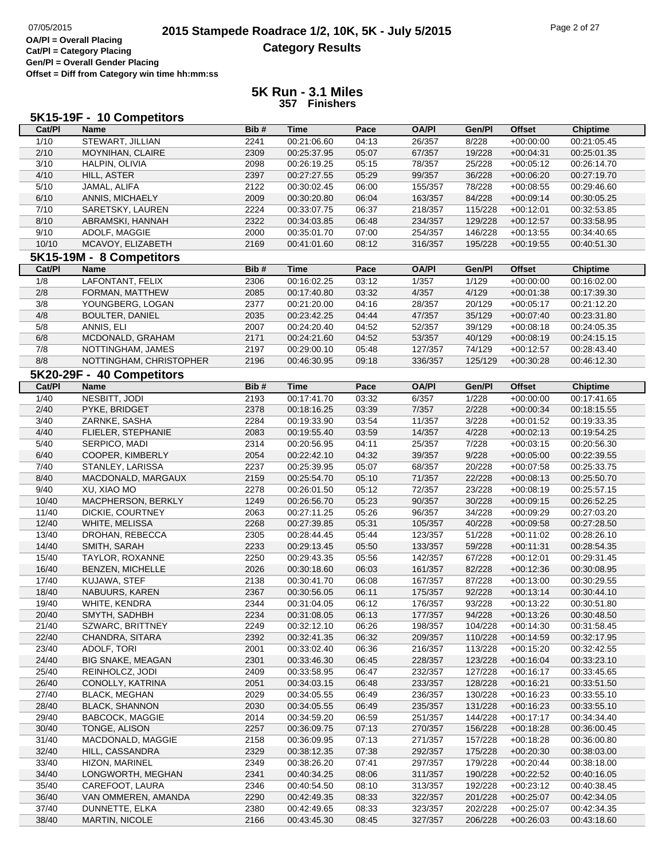|        | 5K15-19F - 10 Competitors               |      |             |       |              |         |               |                 |
|--------|-----------------------------------------|------|-------------|-------|--------------|---------|---------------|-----------------|
| Cat/PI | <b>Name</b>                             | Bib# | <b>Time</b> | Pace  | <b>OA/PI</b> | Gen/Pl  | <b>Offset</b> | <b>Chiptime</b> |
| 1/10   | STEWART, JILLIAN                        | 2241 | 00:21:06.60 | 04:13 | 26/357       | 8/228   | $+00:00:00$   | 00:21:05.45     |
| 2/10   | MOYNIHAN, CLAIRE                        | 2309 | 00:25:37.95 | 05:07 | 67/357       | 19/228  | $+00:04:31$   | 00:25:01.35     |
| 3/10   | HALPIN, OLIVIA                          | 2098 | 00:26:19.25 | 05:15 | 78/357       | 25/228  | $+00:05:12$   | 00:26:14.70     |
| 4/10   | HILL, ASTER                             | 2397 | 00:27:27.55 | 05:29 | 99/357       | 36/228  | $+00:06:20$   | 00:27:19.70     |
| 5/10   | JAMAL, ALIFA                            | 2122 | 00:30:02.45 | 06:00 | 155/357      | 78/228  | $+00:08:55$   | 00:29:46.60     |
| 6/10   | ANNIS, MICHAELY                         | 2009 | 00:30:20.80 | 06:04 | 163/357      | 84/228  | $+00:09:14$   | 00:30:05.25     |
| 7/10   | SARETSKY, LAUREN                        | 2224 | 00:33:07.75 | 06:37 | 218/357      | 115/228 | $+00:12:01$   | 00:32:53.85     |
| 8/10   | ABRAMSKI, HANNAH                        | 2322 | 00:34:03.85 | 06:48 | 234/357      | 129/228 | $+00:12:57$   | 00:33:58.95     |
| 9/10   | ADOLF, MAGGIE                           | 2000 | 00:35:01.70 | 07:00 | 254/357      | 146/228 | $+00:13:55$   | 00:34:40.65     |
| 10/10  | MCAVOY, ELIZABETH                       | 2169 | 00:41:01.60 | 08:12 | 316/357      | 195/228 | $+00:19:55$   | 00:40:51.30     |
|        |                                         |      |             |       |              |         |               |                 |
| Cat/PI | 5K15-19M - 8 Competitors<br><b>Name</b> | Bib# | <b>Time</b> | Pace  | <b>OA/PI</b> | Gen/PI  |               | Chiptime        |
|        |                                         |      |             |       |              |         | <b>Offset</b> |                 |
| 1/8    | LAFONTANT, FELIX                        | 2306 | 00:16:02.25 | 03:12 | 1/357        | 1/129   | $+00:00:00$   | 00:16:02.00     |
| 2/8    | FORMAN, MATTHEW                         | 2085 | 00:17:40.80 | 03:32 | 4/357        | 4/129   | $+00:01:38$   | 00:17:39.30     |
| 3/8    | YOUNGBERG, LOGAN                        | 2377 | 00:21:20.00 | 04:16 | 28/357       | 20/129  | $+00:05:17$   | 00:21:12.20     |
| 4/8    | <b>BOULTER, DANIEL</b>                  | 2035 | 00:23:42.25 | 04:44 | 47/357       | 35/129  | $+00:07:40$   | 00:23:31.80     |
| 5/8    | ANNIS, ELI                              | 2007 | 00:24:20.40 | 04:52 | 52/357       | 39/129  | $+00:08:18$   | 00:24:05.35     |
| 6/8    | MCDONALD, GRAHAM                        | 2171 | 00:24:21.60 | 04:52 | 53/357       | 40/129  | $+00:08:19$   | 00:24:15.15     |
| 7/8    | NOTTINGHAM, JAMES                       | 2197 | 00:29:00.10 | 05:48 | 127/357      | 74/129  | $+00:12:57$   | 00:28:43.40     |
| 8/8    | NOTTINGHAM, CHRISTOPHER                 | 2196 | 00:46:30.95 | 09:18 | 336/357      | 125/129 | $+00:30:28$   | 00:46:12.30     |
|        | 5K20-29F - 40 Competitors               |      |             |       |              |         |               |                 |
| Cat/PI | <b>Name</b>                             | Bib# | <b>Time</b> | Pace  | <b>OA/PI</b> | Gen/PI  | <b>Offset</b> | <b>Chiptime</b> |
| 1/40   | NESBITT, JODI                           | 2193 | 00:17:41.70 | 03:32 | 6/357        | 1/228   | $+00:00:00$   | 00:17:41.65     |
| 2/40   | PYKE, BRIDGET                           | 2378 | 00:18:16.25 | 03:39 | 7/357        | 2/228   | $+00:00:34$   | 00:18:15.55     |
| 3/40   | ZARNKE, SASHA                           | 2284 | 00:19:33.90 | 03:54 | 11/357       | 3/228   | $+00:01:52$   | 00:19:33.35     |
| 4/40   | FLIELER, STEPHANIE                      | 2083 | 00:19:55.40 | 03:59 | 14/357       | 4/228   | $+00:02:13$   | 00:19:54.25     |
| 5/40   | SERPICO, MADI                           | 2314 | 00:20:56.95 | 04:11 | 25/357       | 7/228   | $+00:03:15$   | 00:20:56.30     |
| 6/40   | COOPER, KIMBERLY                        | 2054 | 00:22:42.10 | 04:32 | 39/357       | 9/228   | $+00:05:00$   | 00:22:39.55     |
| 7/40   | STANLEY, LARISSA                        | 2237 | 00:25:39.95 | 05:07 | 68/357       | 20/228  | $+00:07:58$   | 00:25:33.75     |
| 8/40   | MACDONALD, MARGAUX                      | 2159 | 00:25:54.70 | 05:10 | 71/357       | 22/228  | $+00:08:13$   | 00:25:50.70     |
| 9/40   | XU, XIAO MO                             | 2278 | 00:26:01.50 | 05:12 | 72/357       | 23/228  | $+00:08:19$   | 00:25:57.15     |
| 10/40  | MACPHERSON, BERKLY                      | 1249 | 00:26:56.70 | 05:23 | 90/357       | 30/228  | $+00:09:15$   | 00:26:52.25     |
| 11/40  | DICKIE, COURTNEY                        | 2063 | 00:27:11.25 | 05:26 | 96/357       | 34/228  | $+00:09:29$   | 00:27:03.20     |
| 12/40  | WHITE, MELISSA                          | 2268 | 00:27:39.85 | 05:31 | 105/357      | 40/228  | $+00:09:58$   | 00:27:28.50     |
| 13/40  | DROHAN, REBECCA                         | 2305 | 00:28:44.45 | 05:44 | 123/357      | 51/228  | $+00:11:02$   | 00:28:26.10     |
| 14/40  | SMITH, SARAH                            | 2233 | 00:29:13.45 | 05:50 | 133/357      | 59/228  | $+00:11:31$   | 00:28:54.35     |
| 15/40  | TAYLOR, ROXANNE                         | 2250 | 00:29:43.35 | 05:56 | 142/357      | 67/228  | $+00:12:01$   | 00:29:31.45     |
| 16/40  | <b>BENZEN, MICHELLE</b>                 | 2026 | 00:30:18.60 | 06:03 | 161/357      | 82/228  | $+00:12:36$   | 00:30:08.95     |
| 17/40  | KUJAWA, STEF                            | 2138 | 00:30:41.70 | 06:08 | 167/357      | 87/228  | $+00:13:00$   | 00:30:29.55     |
| 18/40  | NABUURS, KAREN                          | 2367 | 00:30:56.05 | 06:11 | 175/357      | 92/228  | $+00:13:14$   | 00:30:44.10     |
| 19/40  | WHITE, KENDRA                           | 2344 | 00:31:04.05 | 06:12 | 176/357      | 93/228  | $+00:13:22$   | 00:30:51.80     |
| 20/40  | SMYTH, SADHBH                           | 2234 | 00:31:08.05 | 06:13 | 177/357      | 94/228  | $+00:13:26$   | 00:30:48.50     |
| 21/40  | SZWARC, BRITTNEY                        | 2249 | 00:32:12.10 | 06:26 | 198/357      | 104/228 | $+00:14:30$   | 00:31:58.45     |
| 22/40  | CHANDRA, SITARA                         | 2392 | 00:32:41.35 | 06:32 | 209/357      | 110/228 | $+00:14:59$   | 00:32:17.95     |
| 23/40  | ADOLF, TORI                             | 2001 | 00:33:02.40 | 06:36 | 216/357      | 113/228 | $+00:15:20$   | 00:32:42.55     |
| 24/40  | <b>BIG SNAKE, MEAGAN</b>                | 2301 | 00:33:46.30 | 06:45 | 228/357      | 123/228 | $+00:16:04$   | 00:33:23.10     |
| 25/40  | REINHOLCZ, JODI                         | 2409 | 00:33:58.95 | 06:47 | 232/357      | 127/228 | $+00:16:17$   | 00:33:45.65     |
| 26/40  | CONOLLY, KATRINA                        | 2051 | 00:34:03.15 | 06:48 | 233/357      | 128/228 | $+00:16:21$   | 00:33:51.50     |
| 27/40  | <b>BLACK, MEGHAN</b>                    | 2029 | 00:34:05.55 | 06:49 | 236/357      | 130/228 | $+00:16:23$   | 00:33:55.10     |
| 28/40  | <b>BLACK, SHANNON</b>                   | 2030 | 00:34:05.55 | 06:49 | 235/357      | 131/228 | $+00:16:23$   | 00:33:55.10     |
| 29/40  | <b>BABCOCK, MAGGIE</b>                  | 2014 | 00:34:59.20 | 06:59 | 251/357      | 144/228 | $+00:17:17$   | 00:34:34.40     |
| 30/40  | TONGE, ALISON                           | 2257 | 00:36:09.75 | 07:13 | 270/357      | 156/228 | $+00:18:28$   | 00:36:00.45     |
| 31/40  | MACDONALD, MAGGIE                       | 2158 | 00:36:09.95 | 07:13 | 271/357      | 157/228 | $+00:18:28$   | 00:36:00.80     |
| 32/40  | HILL, CASSANDRA                         | 2329 | 00:38:12.35 | 07:38 | 292/357      | 175/228 | $+00:20:30$   | 00:38:03.00     |
| 33/40  | HIZON, MARINEL                          | 2349 | 00:38:26.20 | 07:41 | 297/357      | 179/228 | $+00:20:44$   | 00:38:18.00     |
| 34/40  | LONGWORTH, MEGHAN                       | 2341 | 00:40:34.25 | 08:06 | 311/357      | 190/228 | $+00:22:52$   | 00:40:16.05     |
| 35/40  | CAREFOOT, LAURA                         | 2346 | 00:40:54.50 | 08:10 | 313/357      | 192/228 | $+00:23:12$   | 00:40:38.45     |
| 36/40  | VAN OMMEREN, AMANDA                     | 2290 | 00:42:49.35 | 08:33 | 322/357      | 201/228 | $+00:25:07$   | 00:42:34.05     |
| 37/40  | DUNNETTE, ELKA                          | 2380 | 00:42:49.65 | 08:33 | 323/357      | 202/228 | $+00:25:07$   | 00:42:34.35     |
| 38/40  | <b>MARTIN, NICOLE</b>                   | 2166 | 00:43:45.30 | 08:45 | 327/357      | 206/228 | $+00:26:03$   | 00:43:18.60     |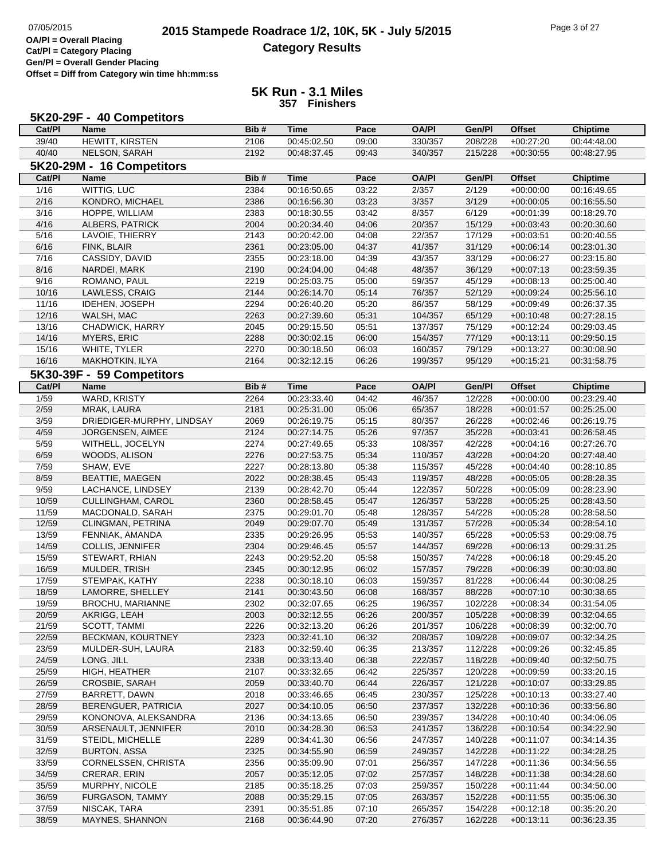# **2015 Stampede Roadrace 1/2, 10K, 5K - July 5/2015** Page 3 of 27<br> **DA/PI** = Overall Placing 2015 Stampede Roadrace 1/2, 10K, 5K - July 5/2015 **Category Results**

**Cat/Pl = Category Placing Gen/Pl = Overall Gender Placing**

**Offset = Diff from Category win time hh:mm:ss**

|                | 5K20-29F - 40 Competitors    |              |                            |                |                    |                    |                            |                            |
|----------------|------------------------------|--------------|----------------------------|----------------|--------------------|--------------------|----------------------------|----------------------------|
| Cat/PI         | <b>Name</b>                  | Bib#         | <b>Time</b>                | Pace           | <b>OA/PI</b>       | Gen/Pl             | <b>Offset</b>              | <b>Chiptime</b>            |
| 39/40          | <b>HEWITT, KIRSTEN</b>       | 2106         | 00:45:02.50                | 09:00          | 330/357            | 208/228            | $+00:27:20$                | 00:44:48.00                |
| 40/40          | NELSON, SARAH                | 2192         | 00:48:37.45                | 09:43          | 340/357            | 215/228            | $+00:30:55$                | 00:48:27.95                |
|                | 5K20-29M - 16 Competitors    |              |                            |                |                    |                    |                            |                            |
| Cat/PI         | <b>Name</b>                  | Bib#         | <b>Time</b>                | Pace           | <b>OA/PI</b>       | Gen/Pl             | <b>Offset</b>              | <b>Chiptime</b>            |
| 1/16           | WITTIG, LUC                  | 2384         | 00:16:50.65                | 03:22          | 2/357              | 2/129              | $+00:00:00$                | 00:16:49.65                |
| 2/16           | KONDRO, MICHAEL              | 2386         | 00:16:56.30                | 03:23          | 3/357              | 3/129              | $+00:00:05$                | 00:16:55.50                |
| 3/16           | HOPPE, WILLIAM               | 2383         | 00:18:30.55                | 03:42          | 8/357              | 6/129              | $+00:01:39$                | 00:18:29.70                |
| 4/16           | ALBERS, PATRICK              | 2004         | 00:20:34.40                | 04:06          | 20/357             | 15/129             | $+00:03:43$                | 00:20:30.60                |
| 5/16           | LAVOIE, THIERRY              | 2143         | 00:20:42.00                | 04:08          | 22/357             | 17/129             | $+00:03:51$                | 00:20:40.55                |
| 6/16           | FINK, BLAIR                  | 2361         | 00:23:05.00                | 04:37          | 41/357             | 31/129             | $+00:06:14$                | 00:23:01.30                |
| 7/16           | CASSIDY, DAVID               | 2355         | 00:23:18.00                | 04:39          | 43/357             | 33/129             | $+00:06:27$                | 00:23:15.80                |
| 8/16           | NARDEI, MARK                 | 2190         | 00:24:04.00                | 04:48          | 48/357             | 36/129             | $+00:07:13$                | 00:23:59.35                |
| 9/16           | ROMANO, PAUL                 | 2219         | 00:25:03.75                | 05:00          | 59/357             | 45/129             | $+00:08:13$                | 00:25:00.40                |
| 10/16          | LAWLESS, CRAIG               | 2144         | 00:26:14.70                | 05:14          | 76/357             | 52/129             | $+00:09:24$                | 00:25:56.10                |
| 11/16          | <b>IDEHEN, JOSEPH</b>        | 2294         | 00:26:40.20                | 05:20          | 86/357             | 58/129             | $+00:09:49$                | 00:26:37.35                |
| 12/16          | WALSH, MAC                   | 2263         | 00:27:39.60                | 05:31          | 104/357            | 65/129             | $+00:10:48$                | 00:27:28.15                |
| 13/16          | CHADWICK, HARRY              | 2045         | 00:29:15.50                | 05:51          | 137/357            | 75/129             | $+00:12:24$                | 00:29:03.45                |
| 14/16          | <b>MYERS, ERIC</b>           | 2288         | 00:30:02.15                | 06:00          | 154/357            | 77/129             | $+00:13:11$                | 00:29:50.15                |
| 15/16          | WHITE, TYLER                 | 2270         | 00:30:18.50                | 06:03          | 160/357            | 79/129             | $+00:13:27$                | 00:30:08.90                |
| 16/16          | MAKHOTKIN, ILYA              | 2164         | 00:32:12.15                | 06:26          | 199/357            | 95/129             | $+00:15:21$                | 00:31:58.75                |
|                | 5K30-39F - 59 Competitors    |              |                            |                |                    |                    |                            |                            |
| Cat/PI         | <b>Name</b>                  | Bib#         | <b>Time</b>                | Pace           | <b>OA/PI</b>       | Gen/Pl             | <b>Offset</b>              | <b>Chiptime</b>            |
| $\frac{1}{59}$ | <b>WARD, KRISTY</b>          | 2264         | 00:23:33.40                | 04:42          | 46/357             | 12/228             | $+00:00:00$                | 00:23:29.40                |
| 2/59           | MRAK, LAURA                  | 2181         | 00:25:31.00                | 05:06          | 65/357             | 18/228             | $+00.01.57$                | 00:25:25.00                |
| 3/59           | DRIEDIGER-MURPHY, LINDSAY    | 2069         | 00:26:19.75                | 05:15          | 80/357             | 26/228             | $+00:02:46$                | 00:26:19.75                |
| 4/59           | JORGENSEN, AIMEE             | 2124         | 00:27:14.75                | 05:26          | 97/357             | 35/228             | $+00:03:41$                | 00:26:58.45                |
| 5/59           | WITHELL, JOCELYN             | 2274         | 00:27:49.65                | 05:33          | 108/357            | 42/228             | $+00:04:16$                | 00:27:26.70                |
| 6/59           | WOODS, ALISON                | 2276         | 00:27:53.75                | 05:34          | 110/357            | 43/228             | $+00:04:20$                | 00:27:48.40                |
| 7/59           | SHAW, EVE                    | 2227         | 00:28:13.80                | 05:38          | 115/357            | 45/228             | $+00:04:40$                | 00:28:10.85                |
| 8/59           | <b>BEATTIE, MAEGEN</b>       | 2022         | 00:28:38.45                | 05:43          | 119/357            | 48/228             | $+00:05:05$                | 00:28:28.35                |
| 9/59           | LACHANCE, LINDSEY            | 2139         | 00:28:42.70                | 05:44          | 122/357            | 50/228             | $+00:05:09$                | 00:28:23.90                |
| 10/59          | CULLINGHAM, CAROL            | 2360         | 00:28:58.45                | 05:47          | 126/357            | 53/228             | $+00:05:25$                | 00:28:43.50                |
| 11/59          | MACDONALD, SARAH             | 2375         | 00:29:01.70                | 05:48          | 128/357            | 54/228             | $+00:05:28$                | 00:28:58.50                |
| 12/59          | CLINGMAN, PETRINA            | 2049         | 00:29:07.70                | 05:49          | 131/357            | 57/228             | $+00:05:34$                | 00:28:54.10                |
| 13/59          | FENNIAK, AMANDA              | 2335         | 00:29:26.95                | 05:53          | 140/357            | 65/228             | $+00:05:53$                | 00:29:08.75                |
| 14/59          | <b>COLLIS, JENNIFER</b>      | 2304         | 00:29:46.45                | 05:57          | 144/357            | 69/228             | $+00:06:13$                | 00:29:31.25                |
| 15/59          | STEWART, RHIAN               | 2243         | 00:29:52.20                | 05:58          | 150/357            | 74/228             | $+00:06:18$                | 00:29:45.20                |
| 16/59          | MULDER, TRISH                | 2345         | 00:30:12.95                | 06:02          | 157/357            | 79/228             | $+00:06:39$                | 00:30:03.80                |
| 17/59          | STEMPAK, KATHY               | 2238         | 00:30:18.10                | 06:03          | 159/357            | 81/228             | $+00:06:44$                | 00:30:08.25                |
| 18/59          | LAMORRE, SHELLEY             | 2141         | 00:30:43.50                | 06:08          | 168/357            | 88/228             | $+00:07:10$                | 00:30:38.65                |
| 19/59          | BROCHU, MARIANNE             | 2302         | 00:32:07.65                | 06:25          | 196/357            | 102/228<br>105/228 | $+00:08:34$<br>$+00:08:39$ | 00:31:54.05                |
| 20/59<br>21/59 | AKRIGG, LEAH<br>SCOTT, TAMMI | 2003<br>2226 | 00:32:12.55<br>00:32:13.20 | 06:26<br>06:26 | 200/357<br>201/357 | 106/228            | $+00:08:39$                | 00:32:04.65<br>00:32:00.70 |
| 22/59          | BECKMAN, KOURTNEY            |              | 00:32:41.10                | 06:32          |                    | 109/228            | $+00:09:07$                | 00:32:34.25                |
| 23/59          | MULDER-SUH, LAURA            | 2323<br>2183 | 00:32:59.40                | 06:35          | 208/357<br>213/357 | 112/228            | $+00:09:26$                | 00:32:45.85                |
| 24/59          | LONG, JILL                   | 2338         | 00:33:13.40                | 06:38          | 222/357            | 118/228            | $+00:09:40$                | 00:32:50.75                |
| 25/59          | HIGH, HEATHER                | 2107         | 00:33:32.65                | 06:42          | 225/357            | 120/228            | $+00:09:59$                | 00:33:20.15                |
| 26/59          | CROSBIE, SARAH               | 2059         | 00:33:40.70                | 06:44          | 226/357            | 121/228            | $+00:10:07$                | 00:33:29.85                |
| 27/59          | BARRETT, DAWN                | 2018         | 00:33:46.65                | 06:45          | 230/357            | 125/228            | $+00:10:13$                | 00:33:27.40                |
| 28/59          | BERENGUER, PATRICIA          | 2027         | 00:34:10.05                | 06:50          | 237/357            | 132/228            | $+00:10:36$                | 00:33:56.80                |
| 29/59          | KONONOVA, ALEKSANDRA         | 2136         | 00:34:13.65                | 06:50          | 239/357            | 134/228            | $+00:10:40$                | 00:34:06.05                |
| 30/59          | ARSENAULT, JENNIFER          | 2010         | 00:34:28.30                | 06:53          | 241/357            | 136/228            | $+00:10:54$                | 00:34:22.90                |
| 31/59          | STEIDL, MICHELLE             | 2289         | 00:34:41.30                | 06:56          | 247/357            | 140/228            | $+00:11:07$                | 00:34:14.35                |
| 32/59          | <b>BURTON, ASSA</b>          | 2325         | 00:34:55.90                | 06:59          | 249/357            | 142/228            | $+00:11:22$                | 00:34:28.25                |
| 33/59          | CORNELSSEN, CHRISTA          | 2356         | 00:35:09.90                | 07:01          | 256/357            | 147/228            | $+00:11:36$                | 00:34:56.55                |
| 34/59          | CRERAR, ERIN                 | 2057         | 00:35:12.05                | 07:02          | 257/357            | 148/228            | $+00:11:38$                | 00:34:28.60                |
| 35/59          | MURPHY, NICOLE               | 2185         | 00:35:18.25                | 07:03          | 259/357            | 150/228            | $+00:11:44$                | 00:34:50.00                |
| 36/59          | FURGASON, TAMMY              | 2088         | 00:35:29.15                | 07:05          | 263/357            | 152/228            | $+00:11:55$                | 00:35:06.30                |
| 37/59          | NISCAK, TARA                 | 2391         | 00:35:51.85                | 07:10          | 265/357            | 154/228            | $+00:12:18$                | 00:35:20.20                |
| 38/59          | MAYNES, SHANNON              | 2168         | 00:36:44.90                | 07:20          | 276/357            | 162/228            | $+00:13:11$                | 00:36:23.35                |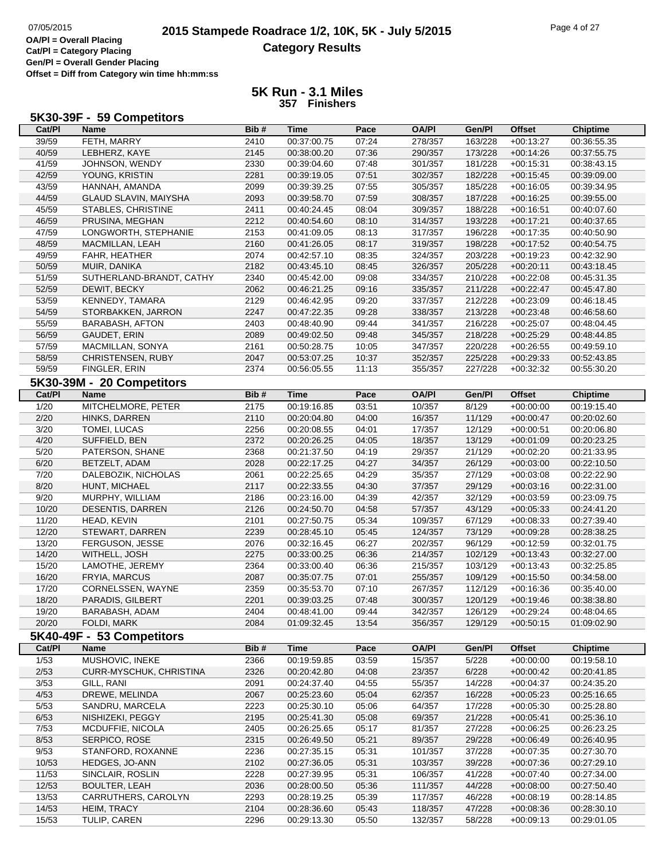# **2015 Stampede Roadrace 1/2, 10K, 5K - July 5/2015** Page 4 of 27<br> **DA/PI** = Overall Placing 2015 Stampede Roadrace 1/2, 10K, 5K - July 5/2015 **Category Results**

**Cat/Pl = Category Placing Gen/Pl = Overall Gender Placing Offset = Diff from Category win time hh:mm:ss**

| 5K30-39F - 59 Competitors |  |  |  |
|---------------------------|--|--|--|
|---------------------------|--|--|--|

| Cat/PI            | <b>Name</b>               | Bib# | <b>Time</b> | Pace  | <b>OA/PI</b> | Gen/Pl  | <b>Offset</b> | <b>Chiptime</b> |
|-------------------|---------------------------|------|-------------|-------|--------------|---------|---------------|-----------------|
| 39/59             | FETH, MARRY               | 2410 | 00:37:00.75 | 07:24 | 278/357      | 163/228 | $+00:13:27$   | 00:36:55.35     |
| 40/59             | LEBHERZ, KAYE             | 2145 | 00:38:00.20 | 07:36 | 290/357      | 173/228 | $+00:14:26$   | 00:37:55.75     |
| 41/59             | JOHNSON, WENDY            | 2330 | 00:39:04.60 | 07:48 | 301/357      | 181/228 | $+00:15:31$   | 00:38:43.15     |
| 42/59             | YOUNG, KRISTIN            | 2281 | 00:39:19.05 | 07:51 | 302/357      | 182/228 | $+00:15:45$   | 00:39:09.00     |
| 43/59             | HANNAH, AMANDA            | 2099 | 00:39:39.25 | 07:55 | 305/357      | 185/228 | $+00:16:05$   | 00:39:34.95     |
| 44/59             | GLAUD SLAVIN, MAIYSHA     | 2093 | 00:39:58.70 | 07:59 | 308/357      | 187/228 | $+00:16:25$   | 00:39:55.00     |
| 45/59             | STABLES, CHRISTINE        | 2411 | 00:40:24.45 | 08:04 | 309/357      | 188/228 | $+00:16:51$   | 00:40:07.60     |
| 46/59             | PRUSINA, MEGHAN           | 2212 | 00:40:54.60 | 08:10 | 314/357      | 193/228 | $+00:17:21$   | 00:40:37.65     |
| 47/59             | LONGWORTH, STEPHANIE      | 2153 | 00:41:09.05 | 08:13 | 317/357      | 196/228 | $+00:17:35$   | 00:40:50.90     |
| 48/59             | MACMILLAN, LEAH           | 2160 | 00:41:26.05 | 08:17 | 319/357      | 198/228 | $+00:17:52$   | 00:40:54.75     |
| 49/59             | FAHR, HEATHER             | 2074 | 00:42:57.10 | 08:35 | 324/357      | 203/228 | $+00:19:23$   | 00:42:32.90     |
| 50/59             | MUIR, DANIKA              | 2182 | 00:43:45.10 | 08:45 | 326/357      | 205/228 | $+00:20:11$   | 00:43:18.45     |
| 51/59             | SUTHERLAND-BRANDT, CATHY  | 2340 | 00:45:42.00 | 09:08 | 334/357      | 210/228 | $+00:22:08$   | 00:45:31.35     |
| 52/59             | DEWIT, BECKY              | 2062 | 00:46:21.25 | 09:16 | 335/357      | 211/228 | $+00:22:47$   | 00:45:47.80     |
| 53/59             | <b>KENNEDY, TAMARA</b>    | 2129 | 00:46:42.95 | 09:20 | 337/357      | 212/228 | $+00:23:09$   | 00:46:18.45     |
| 54/59             | STORBAKKEN, JARRON        | 2247 | 00:47:22.35 | 09:28 | 338/357      | 213/228 | $+00:23:48$   | 00:46:58.60     |
| 55/59             | <b>BARABASH, AFTON</b>    | 2403 | 00:48:40.90 | 09:44 | 341/357      | 216/228 | $+00:25:07$   | 00:48:04.45     |
| 56/59             | GAUDET, ERIN              | 2089 | 00:49:02.50 | 09:48 | 345/357      | 218/228 | $+00:25:29$   | 00:48:44.85     |
| 57/59             | MACMILLAN, SONYA          | 2161 | 00:50:28.75 | 10:05 | 347/357      | 220/228 | $+00:26:55$   | 00:49:59.10     |
| 58/59             | CHRISTENSEN, RUBY         | 2047 | 00:53:07.25 | 10:37 | 352/357      | 225/228 | $+00:29:33$   | 00:52:43.85     |
| 59/59             | FINGLER, ERIN             | 2374 | 00:56:05.55 | 11:13 | 355/357      | 227/228 | $+00:32:32$   | 00:55:30.20     |
|                   | 5K30-39M - 20 Competitors |      |             |       |              |         |               |                 |
| Cat/PI            | <b>Name</b>               | Bib# | <b>Time</b> | Pace  | <b>OA/PI</b> | Gen/Pl  | <b>Offset</b> | <b>Chiptime</b> |
| 1/20              | MITCHELMORE, PETER        | 2175 | 00:19:16.85 | 03:51 | 10/357       | 8/129   | $+00:00:00$   | 00:19:15.40     |
| 2/20              | HINKS, DARREN             | 2110 | 00:20:04.80 | 04:00 | 16/357       | 11/129  | $+00:00:47$   | 00:20:02.60     |
| 3/20              | TOMEI, LUCAS              | 2256 | 00:20:08.55 | 04:01 | 17/357       | 12/129  | $+00:00:51$   | 00:20:06.80     |
| 4/20              | SUFFIELD, BEN             | 2372 | 00:20:26.25 | 04:05 | 18/357       | 13/129  | $+00:01:09$   | 00:20:23.25     |
| 5/20              | PATERSON, SHANE           | 2368 | 00:21:37.50 | 04:19 | 29/357       | 21/129  | $+00:02:20$   | 00:21:33.95     |
| 6/20              | BETZELT, ADAM             | 2028 | 00:22:17.25 | 04:27 | 34/357       | 26/129  | $+00:03:00$   | 00:22:10.50     |
| 7/20              | DALEBOZIK, NICHOLAS       | 2061 | 00:22:25.65 | 04:29 | 35/357       | 27/129  | $+00:03:08$   | 00:22:22.90     |
| 8/20              | HUNT, MICHAEL             | 2117 | 00:22:33.55 | 04:30 | 37/357       | 29/129  | $+00:03:16$   | 00:22:31.00     |
| 9/20              | MURPHY, WILLIAM           | 2186 | 00:23:16.00 | 04:39 | 42/357       | 32/129  | $+00:03:59$   | 00:23:09.75     |
| 10/20             | DESENTIS, DARREN          | 2126 | 00:24:50.70 | 04:58 | 57/357       | 43/129  | $+00:05:33$   | 00:24:41.20     |
| 11/20             | HEAD, KEVIN               | 2101 | 00:27:50.75 | 05:34 | 109/357      | 67/129  | $+00:08:33$   | 00:27:39.40     |
| 12/20             | STEWART, DARREN           | 2239 | 00:28:45.10 | 05:45 | 124/357      | 73/129  | $+00:09:28$   | 00:28:38.25     |
| 13/20             | FERGUSON, JESSE           | 2076 | 00:32:16.45 | 06:27 | 202/357      | 96/129  | $+00:12:59$   | 00:32:01.75     |
| 14/20             | WITHELL, JOSH             | 2275 | 00:33:00.25 | 06:36 | 214/357      | 102/129 | $+00:13:43$   | 00:32:27.00     |
| 15/20             | LAMOTHE, JEREMY           | 2364 | 00:33:00.40 | 06:36 | 215/357      | 103/129 | $+00:13:43$   | 00:32:25.85     |
| 16/20             | FRYIA, MARCUS             | 2087 | 00:35:07.75 | 07:01 | 255/357      | 109/129 | $+00:15:50$   | 00:34:58.00     |
| 17/20             | CORNELSSEN, WAYNE         | 2359 | 00:35:53.70 | 07:10 | 267/357      | 112/129 | $+00:16:36$   | 00:35:40.00     |
| 18/20             | PARADIS, GILBERT          | 2201 | 00:39:03.25 | 07:48 | 300/357      | 120/129 | $+00.19.46$   | 00:38:38.80     |
| 19/20             | BARABASH, ADAM            | 2404 | 00:48:41.00 | 09:44 | 342/357      | 126/129 | $+00:29:24$   | 00:48:04.65     |
| 20/20             | FOLDI, MARK               | 2084 | 01:09:32.45 | 13:54 | 356/357      | 129/129 | $+00:50:15$   | 01:09:02.90     |
|                   | 5K40-49F - 53 Competitors |      |             |       |              |         |               |                 |
| Cat/PI            | <b>Name</b>               | Bib# | <b>Time</b> | Pace  | <b>OA/PI</b> | Gen/Pl  | <b>Offset</b> | <b>Chiptime</b> |
| 1/53              | MUSHOVIC, INEKE           | 2366 | 00:19:59.85 | 03:59 | 15/357       | 5/228   | $+00:00:00$   | 00:19:58.10     |
| 2/53              | CURR-MYSCHUK, CHRISTINA   | 2326 | 00:20:42.80 | 04:08 | 23/357       | 6/228   | $+00:00:42$   | 00:20:41.85     |
| $\frac{3}{53}$    | GILL, RANI                | 2091 | 00:24:37.40 | 04:55 | 55/357       | 14/228  | $+00:04:37$   | 00:24:35.20     |
| 4/53              | DREWE, MELINDA            | 2067 | 00:25:23.60 | 05:04 | 62/357       | 16/228  | $+00:05:23$   | 00:25:16.65     |
| 5/53              | SANDRU, MARCELA           | 2223 | 00:25:30.10 | 05:06 | 64/357       | 17/228  | $+00:05:30$   | 00:25:28.80     |
| 6/53              | NISHIZEKI, PEGGY          | 2195 | 00:25:41.30 | 05:08 | 69/357       | 21/228  | $+00:05:41$   | 00:25:36.10     |
| $\overline{7/53}$ | MCDUFFIE, NICOLA          | 2405 | 00:26:25.65 | 05:17 | 81/357       | 27/228  | $+00:06:25$   | 00:26:23.25     |
| 8/53              | SERPICO, ROSE             | 2315 | 00:26:49.50 | 05:21 | 89/357       | 29/228  | $+00:06:49$   | 00:26:40.95     |
| 9/53              | STANFORD, ROXANNE         | 2236 | 00:27:35.15 | 05:31 | 101/357      | 37/228  | $+00:07:35$   | 00:27:30.70     |
| 10/53             | HEDGES, JO-ANN            | 2102 | 00:27:36.05 | 05:31 | 103/357      | 39/228  | $+00:07:36$   | 00:27:29.10     |
| 11/53             | SINCLAIR, ROSLIN          | 2228 | 00:27:39.95 | 05:31 | 106/357      | 41/228  | $+00:07:40$   | 00:27:34.00     |
| 12/53             | <b>BOULTER, LEAH</b>      | 2036 | 00:28:00.50 | 05:36 | 111/357      | 44/228  | $+00:08:00$   | 00:27:50.40     |
| 13/53             | CARRUTHERS, CAROLYN       | 2293 | 00:28:19.25 | 05:39 | 117/357      | 46/228  | $+00:08:19$   | 00:28:14.85     |
| 14/53             | HEIM, TRACY               | 2104 | 00:28:36.60 | 05:43 | 118/357      | 47/228  | $+00:08:36$   | 00:28:30.10     |
| 15/53             | TULIP, CAREN              | 2296 | 00:29:13.30 | 05:50 | 132/357      | 58/228  | $+00:09:13$   | 00:29:01.05     |
|                   |                           |      |             |       |              |         |               |                 |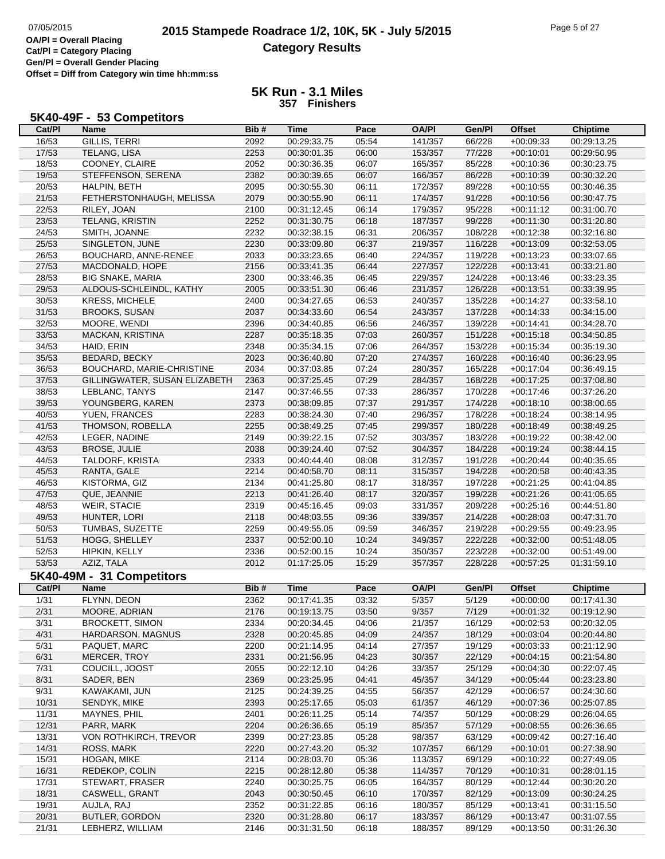### **5K Run - 3.1 Miles 357 Finishers**

**Cat/Pl Name Bib # Time Pace OA/Pl Gen/Pl Offset Chiptime**

# **5K40-49F - 53 Competitors**

| 16/53          | GILLIS, TERRI                 | 2092 | 00:29:33.75                | 05:54 | 141/357      | 66/228  | $+00:09:33$   | 00:29:13.25     |
|----------------|-------------------------------|------|----------------------------|-------|--------------|---------|---------------|-----------------|
| 17/53          | <b>TELANG, LISA</b>           | 2253 | 00:30:01.35                | 06:00 | 153/357      | 77/228  | $+00:10:01$   | 00:29:50.95     |
| 18/53          | COONEY, CLAIRE                | 2052 | 00:30:36.35                | 06:07 | 165/357      | 85/228  | $+00:10:36$   | 00:30:23.75     |
| 19/53          | STEFFENSON, SERENA            | 2382 | 00:30:39.65                | 06:07 | 166/357      | 86/228  | $+00:10:39$   | 00:30:32.20     |
| 20/53          | HALPIN, BETH                  | 2095 | 00:30:55.30                | 06:11 | 172/357      | 89/228  | $+00:10:55$   | 00:30:46.35     |
| 21/53          | FETHERSTONHAUGH, MELISSA      | 2079 | 00:30:55.90                | 06:11 | 174/357      | 91/228  | $+00:10:56$   | 00:30:47.75     |
| 22/53          | RILEY, JOAN                   | 2100 | 00:31:12.45                | 06:14 | 179/357      | 95/228  | $+00:11:12$   | 00:31:00.70     |
| 23/53          | TELANG, KRISTIN               | 2252 | 00:31:30.75                | 06:18 | 187/357      | 99/228  | $+00:11:30$   | 00:31:20.80     |
| 24/53          | SMITH, JOANNE                 | 2232 | 00:32:38.15                | 06:31 | 206/357      | 108/228 | $+00:12:38$   | 00:32:16.80     |
| 25/53          | SINGLETON, JUNE               | 2230 | 00:33:09.80                | 06:37 | 219/357      | 116/228 | $+00:13:09$   | 00:32:53.05     |
| 26/53          | BOUCHARD, ANNE-RENEE          | 2033 | 00:33:23.65                | 06:40 | 224/357      | 119/228 | $+00:13:23$   | 00:33:07.65     |
| 27/53          | MACDONALD, HOPE               | 2156 | 00:33:41.35                | 06:44 | 227/357      | 122/228 | $+00:13:41$   | 00:33:21.80     |
| 28/53          | <b>BIG SNAKE, MARIA</b>       | 2300 | 00:33:46.35                | 06:45 | 229/357      | 124/228 | $+00:13:46$   | 00:33:23.35     |
| 29/53          | ALDOUS-SCHLEINDL, KATHY       | 2005 | 00:33:51.30                | 06:46 | 231/357      | 126/228 | $+00:13:51$   | 00:33:39.95     |
| 30/53          | <b>KRESS, MICHELE</b>         | 2400 | 00:34:27.65                | 06:53 | 240/357      | 135/228 | $+00:14:27$   | 00:33:58.10     |
| 31/53          | <b>BROOKS, SUSAN</b>          | 2037 | 00:34:33.60                | 06:54 | 243/357      | 137/228 |               | 00:34:15.00     |
|                |                               |      |                            |       |              |         | $+00:14:33$   |                 |
| 32/53          | MOORE, WENDI                  | 2396 | 00:34:40.85                | 06:56 | 246/357      | 139/228 | $+00:14:41$   | 00:34:28.70     |
| 33/53          | MACKAN, KRISTINA              | 2287 | 00:35:18.35                | 07:03 | 260/357      | 151/228 | $+00:15:18$   | 00:34:50.85     |
| 34/53          | HAID, ERIN                    | 2348 | 00:35:34.15                | 07:06 | 264/357      | 153/228 | $+00:15:34$   | 00:35:19.30     |
| 35/53          | <b>BEDARD, BECKY</b>          | 2023 | 00:36:40.80                | 07:20 | 274/357      | 160/228 | $+00:16:40$   | 00:36:23.95     |
| 36/53          | BOUCHARD, MARIE-CHRISTINE     | 2034 | 00:37:03.85                | 07:24 | 280/357      | 165/228 | $+00:17:04$   | 00:36:49.15     |
| 37/53          | GILLINGWATER, SUSAN ELIZABETH | 2363 | 00:37:25.45                | 07:29 | 284/357      | 168/228 | $+00:17:25$   | 00:37:08.80     |
| 38/53          | LEBLANC, TANYS                | 2147 | 00:37:46.55                | 07:33 | 286/357      | 170/228 | $+00:17:46$   | 00:37:26.20     |
| 39/53          | YOUNGBERG, KAREN              | 2373 | 00:38:09.85                | 07:37 | 291/357      | 174/228 | $+00:18:10$   | 00:38:00.65     |
| 40/53          | YUEN, FRANCES                 | 2283 | 00:38:24.30                | 07:40 | 296/357      | 178/228 | $+00:18:24$   | 00:38:14.95     |
| 41/53          | THOMSON, ROBELLA              | 2255 | 00:38:49.25                | 07:45 | 299/357      | 180/228 | $+00:18:49$   | 00:38:49.25     |
| 42/53          | LEGER, NADINE                 | 2149 | 00:39:22.15                | 07:52 | 303/357      | 183/228 | $+00:19:22$   | 00:38:42.00     |
| 43/53          | <b>BROSE, JULIE</b>           | 2038 | 00:39:24.40                | 07:52 | 304/357      | 184/228 | $+00:19:24$   | 00:38:44.15     |
| 44/53          | TALDORF, KRISTA               | 2333 | 00:40:44.40                | 08:08 | 312/357      | 191/228 | $+00:20:44$   | 00:40:35.65     |
| 45/53          | RANTA, GALE                   | 2214 | 00:40:58.70                | 08:11 | 315/357      | 194/228 | $+00:20:58$   | 00:40:43.35     |
| 46/53          | KISTORMA, GIZ                 | 2134 | 00:41:25.80                | 08:17 | 318/357      | 197/228 | $+00:21:25$   | 00:41:04.85     |
| 47/53          | QUE, JEANNIE                  | 2213 | 00:41:26.40                | 08:17 | 320/357      | 199/228 | $+00:21:26$   | 00:41:05.65     |
| 48/53          | WEIR, STACIE                  | 2319 | 00:45:16.45                | 09:03 | 331/357      | 209/228 | $+00:25:16$   | 00:44:51.80     |
| 49/53          | HUNTER, LORI                  | 2118 | 00:48:03.55                | 09:36 | 339/357      | 214/228 | $+00:28:03$   | 00:47:31.70     |
| 50/53          | TUMBAS, SUZETTE               | 2259 | 00:49:55.05                | 09:59 | 346/357      | 219/228 | $+00:29:55$   | 00:49:23.95     |
| 51/53          | HOGG, SHELLEY                 | 2337 | 00:52:00.10                | 10:24 | 349/357      | 222/228 | $+00:32:00$   | 00:51:48.05     |
| 52/53          | HIPKIN, KELLY                 | 2336 | 00:52:00.15                | 10:24 | 350/357      | 223/228 | $+00:32:00$   | 00:51:49.00     |
| 53/53          | AZIZ, TALA                    | 2012 | 01:17:25.05                | 15:29 | 357/357      | 228/228 | $+00:57:25$   | 01:31:59.10     |
|                | 5K40-49M - 31 Competitors     |      |                            |       |              |         |               |                 |
| Cat/Pl         | <b>Name</b>                   | Bib# | <b>Time</b>                | Pace  | <b>OA/PI</b> | Gen/Pl  | <b>Offset</b> | <b>Chiptime</b> |
| 1/31           | FLYNN, DEON                   | 2362 |                            | 03:32 | 5/357        | 5/129   |               | 00:17:41.30     |
|                |                               |      | 00:17:41.35<br>00:19:13.75 | 03:50 |              | 7/129   | $+00:00:00$   | 00:19:12.90     |
| 2/31           | MOORE, ADRIAN                 | 2176 | 00:20:34.45                |       | 9/357        |         | $+00:01:32$   |                 |
| $\frac{3}{31}$ | <b>BROCKETT, SIMON</b>        | 2334 |                            | 04:06 | 21/357       | 16/129  | $+00:02:53$   | 00:20:32.05     |
| 4/31           | HARDARSON, MAGNUS             | 2328 | 00:20:45.85                | 04:09 | 24/357       | 18/129  | $+00:03:04$   | 00:20:44.80     |
| 5/31           | PAQUET, MARC                  | 2200 | 00:21:14.95                | 04:14 | 27/357       | 19/129  | $+00:03:33$   | 00:21:12.90     |
| 6/31           | <b>MERCER, TROY</b>           | 2331 | 00:21:56.95                | 04:23 | 30/357       | 22/129  | $+00:04:15$   | 00:21:54.80     |
| 7/31           | COUCILL, JOOST                | 2055 | 00:22:12.10                | 04:26 | 33/357       | 25/129  | $+00:04:30$   | 00:22:07.45     |
| 8/31           | SADER, BEN                    | 2369 | 00:23:25.95                | 04:41 | 45/357       | 34/129  | $+00:05:44$   | 00:23:23.80     |
| 9/31           | KAWAKAMI, JUN                 | 2125 | 00:24:39.25                | 04:55 | 56/357       | 42/129  | $+00:06:57$   | 00:24:30.60     |
| 10/31          | SENDYK, MIKE                  | 2393 | 00:25:17.65                | 05:03 | 61/357       | 46/129  | $+00:07:36$   | 00:25:07.85     |
| 11/31          | MAYNES, PHIL                  | 2401 | 00:26:11.25                | 05:14 | 74/357       | 50/129  | $+00:08:29$   | 00:26:04.65     |
| 12/31          | PARR, MARK                    | 2204 | 00:26:36.65                | 05:19 | 85/357       | 57/129  | $+00:08:55$   | 00:26:36.65     |
| 13/31          | VON ROTHKIRCH, TREVOR         | 2399 | 00:27:23.85                | 05:28 | 98/357       | 63/129  | $+00:09:42$   | 00:27:16.40     |
| 14/31          | ROSS, MARK                    | 2220 | 00:27:43.20                | 05:32 | 107/357      | 66/129  | $+00:10:01$   | 00:27:38.90     |
| 15/31          | HOGAN, MIKE                   | 2114 | 00:28:03.70                | 05:36 | 113/357      | 69/129  | $+00:10:22$   | 00:27:49.05     |
| 16/31          | REDEKOP, COLIN                | 2215 | 00:28:12.80                | 05:38 | 114/357      | 70/129  | $+00:10:31$   | 00:28:01.15     |
| 17/31          | STEWART, FRASER               | 2240 | 00:30:25.75                | 06:05 | 164/357      | 80/129  | $+00:12:44$   | 00:30:20.20     |
| 18/31          | CASWELL, GRANT                | 2043 | 00:30:50.45                | 06:10 | 170/357      | 82/129  | $+00:13:09$   | 00:30:24.25     |
| 19/31          | AUJLA, RAJ                    | 2352 | 00:31:22.85                | 06:16 | 180/357      | 85/129  | $+00:13:41$   | 00:31:15.50     |
| 20/31          | <b>BUTLER, GORDON</b>         | 2320 | 00:31:28.80                | 06:17 | 183/357      | 86/129  | $+00:13:47$   | 00:31:07.55     |
| 21/31          | LEBHERZ, WILLIAM              | 2146 | 00:31:31.50                | 06:18 | 188/357      | 89/129  | $+00:13:50$   | 00:31:26.30     |
|                |                               |      |                            |       |              |         |               |                 |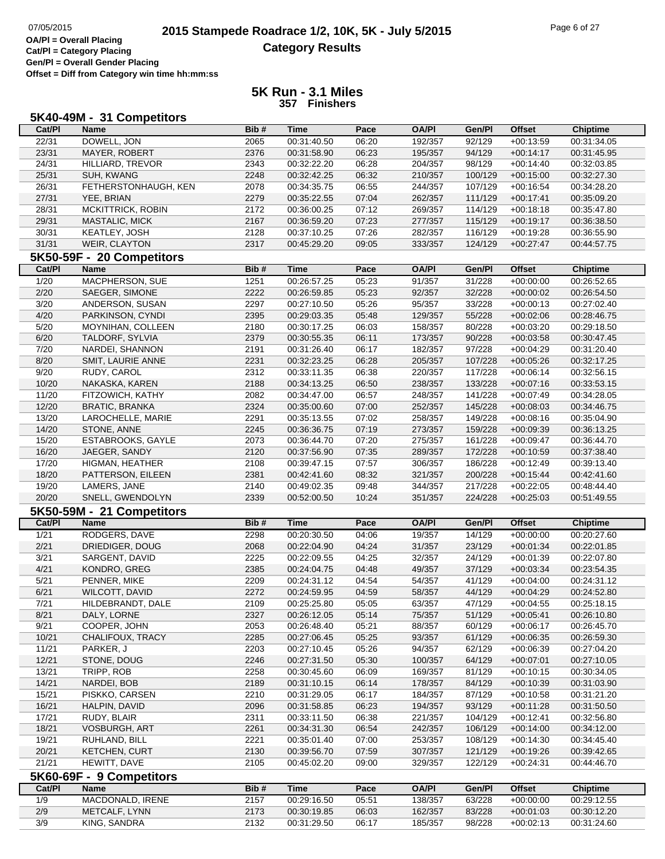| Cat/PI<br>Bib#<br><b>Time</b><br>Pace<br><b>OA/PI</b><br>Gen/Pl<br><b>Offset</b><br><b>Name</b><br><b>Chiptime</b><br>22/31<br>DOWELL, JON<br>2065<br>00:31:40.50<br>06:20<br>192/357<br>92/129<br>$+00:13:59$<br>00:31:34.05<br>23/31<br>MAYER, ROBERT<br>2376<br>00:31:58.90<br>06:23<br>195/357<br>94/129<br>$+00:14:17$<br>00:31:45.95<br>24/31<br>2343<br>00:32:22.20<br>06:28<br>204/357<br>98/129<br>$+00:14:40$<br>00:32:03.85<br>HILLIARD, TREVOR<br>25/31<br>SUH, KWANG<br>2248<br>00:32:42.25<br>06:32<br>100/129<br>$+00:15:00$<br>210/357<br>00:32:27.30<br>26/31<br>FETHERSTONHAUGH, KEN<br>2078<br>00:34:35.75<br>06:55<br>244/357<br>107/129<br>$+00:16:54$<br>00:34:28.20<br>27/31<br>YEE, BRIAN<br>2279<br>07:04<br>262/357<br>111/129<br>$+00:17:41$<br>00:35:22.55<br>00:35:09.20<br>28/31<br>MCKITTRICK, ROBIN<br>2172<br>07:12<br>269/357<br>114/129<br>00:36:00.25<br>$+00:18:18$<br>00:35:47.80<br>29/31<br>2167<br>07:23<br>115/129<br>MASTALIC, MICK<br>00:36:59.20<br>277/357<br>$+00:19:17$<br>00:36:38.50<br>30/31<br>KEATLEY, JOSH<br>2128<br>00:37:10.25<br>07:26<br>282/357<br>116/129<br>$+00:19:28$<br>00:36:55.90<br>31/31<br>WEIR, CLAYTON<br>2317<br>09:05<br>333/357<br>124/129<br>$+00:27:47$<br>00:45:29.20<br>00:44:57.75<br>5K50-59F - 20 Competitors<br>Bib#<br><b>Time</b><br>Pace<br><b>OA/PI</b><br>Gen/Pl<br><b>Offset</b><br>Cat/PI<br><b>Name</b><br><b>Chiptime</b><br>MACPHERSON, SUE<br>1/20<br>1251<br>00:26:57.25<br>05:23<br>91/357<br>31/228<br>$+00:00:00$<br>00:26:52.65<br>2/20<br>SAEGER, SIMONE<br>2222<br>05:23<br>92/357<br>32/228<br>00:26:59.85<br>$+00:00:02$<br>00:26:54.50<br>3/20<br>ANDERSON, SUSAN<br>2297<br>05:26<br>95/357<br>33/228<br>00:27:02.40<br>00:27:10.50<br>$+00:00:13$<br>4/20<br>PARKINSON, CYNDI<br>05:48<br>129/357<br>55/228<br>2395<br>00:29:03.35<br>$+00:02:06$<br>00:28:46.75<br>5/20<br>2180<br>06:03<br>158/357<br>80/228<br>MOYNIHAN, COLLEEN<br>00:30:17.25<br>$+00:03:20$<br>00:29:18.50<br>6/20<br>TALDORF, SYLVIA<br>2379<br>06:11<br>173/357<br>90/228<br>00:30:55.35<br>$+00:03:58$<br>00:30:47.45<br>7/20<br>NARDEI, SHANNON<br>2191<br>00:31:26.40<br>06:17<br>182/357<br>97/228<br>00:31:20.40<br>$+00:04:29$<br>8/20<br>2231<br>00:32:23.25<br>06:28<br>205/357<br>107/228<br>00:32:17.25<br>SMIT, LAURIE ANNE<br>$+00:05:26$<br>9/20<br>2312<br>00:33:11.35<br>06:38<br>220/357<br>117/228<br>00:32:56.15<br>RUDY, CAROL<br>$+00:06:14$<br>10/20<br>2188<br>06:50<br>133/228<br>NAKASKA, KAREN<br>00:34:13.25<br>238/357<br>$+00:07:16$<br>00:33:53.15<br>11/20<br>2082<br>06:57<br>248/357<br>141/228<br>00:34:28.05<br>FITZOWICH, KATHY<br>00:34:47.00<br>$+00:07:49$<br>12/20<br>2324<br>07:00<br>252/357<br>145/228<br><b>BRATIC, BRANKA</b><br>00:35:00.60<br>$+00:08:03$<br>00:34:46.75<br>13/20<br>2291<br>07:02<br>258/357<br>149/228<br>00:35:04.90<br>LAROCHELLE, MARIE<br>00:35:13.55<br>$+00:08:16$<br>14/20<br>STONE, ANNE<br>2245<br>07:19<br>159/228<br>00:36:36.75<br>273/357<br>$+00:09:39$<br>00:36:13.25<br>15/20<br>ESTABROOKS, GAYLE<br>2073<br>00:36:44.70<br>07:20<br>275/357<br>161/228<br>00:36:44.70<br>$+00:09:47$<br>16/20<br>JAEGER, SANDY<br>2120<br>00:37:56.90<br>07:35<br>289/357<br>172/228<br>$+00:10:59$<br>00:37:38.40<br>17/20<br>07:57<br>306/357<br>186/228<br>HIGMAN, HEATHER<br>2108<br>00:39:47.15<br>$+00:12:49$<br>00:39:13.40<br>18/20<br>2381<br>08:32<br>200/228<br>PATTERSON, EILEEN<br>00:42:41.60<br>321/357<br>$+00:15:44$<br>00:42:41.60<br>19/20<br>LAMERS, JANE<br>2140<br>344/357<br>217/228<br>00:49:02.35<br>09:48<br>$+00:22:05$<br>00:48:44.40<br>20/20<br>SNELL, GWENDOLYN<br>2339<br>10:24<br>351/357<br>224/228<br>00:52:00.50<br>$+00:25:03$<br>00:51:49.55<br>5K50-59M - 21 Competitors<br>Cat/PI<br>Bib#<br><b>Time</b><br>Pace<br><b>OA/PI</b><br>Gen/Pl<br><b>Offset</b><br>Chiptime<br><b>Name</b><br>$\frac{1}{21}$<br>RODGERS, DAVE<br>2298<br>00:20:30.50<br>04:06<br>19/357<br>14/129<br>$+00:00:00$<br>00:20:27.60<br>2/21<br>DRIEDIGER, DOUG<br>2068<br>00:22:04.90<br>04:24<br>31/357<br>23/129<br>00:22:01.85<br>$+00:01:34$<br>$\frac{3}{21}$<br>SARGENT, DAVID<br>2225<br>00:22:09.55<br>04:25<br>32/357<br>24/129<br>00:22:07.80<br>$+00:01:39$<br>4/21<br>KONDRO, GREG<br>2385<br>00:24:04.75<br>04:48<br>49/357<br>37/129<br>$+00:03:34$<br>00:23:54.35<br>5/21<br>2209<br>00:24:31.12<br>04:54<br>54/357<br>41/129<br>00:24:31.12<br>PENNER, MIKE<br>$+00:04:00$<br>6/21<br>WILCOTT, DAVID<br>2272<br>04:59<br>58/357<br>44/129<br>$+00:04:29$<br>00:24:52.80<br>00:24:59.95<br>7/21<br>HILDEBRANDT, DALE<br>00:25:25.80<br>05:05<br>63/357<br>47/129<br>$+00:04:55$<br>00:25:18.15<br>2109<br>8/21<br>DALY, LORNE<br>2327<br>05:14<br>75/357<br>51/129<br>00:26:12.05<br>$+00:05:41$<br>00:26:10.80<br>9/21<br>COOPER, JOHN<br>05:21<br>88/357<br>60/129<br>2053<br>00:26:48.40<br>$+00:06:17$<br>00:26:45.70<br>10/21<br>2285<br>05:25<br>61/129<br>CHALIFOUX, TRACY<br>00:27:06.45<br>93/357<br>$+00:06:35$<br>00:26:59.30<br>11/21<br>PARKER, J<br>2203<br>05:26<br>94/357<br>62/129<br>00:27:10.45<br>$+00:06:39$<br>00:27:04.20<br>12/21<br>STONE, DOUG<br>2246<br>05:30<br>100/357<br>64/129<br>00:27:10.05<br>00:27:31.50<br>$+00:07:01$<br>13/21<br>TRIPP, ROB<br>2258<br>00:30:45.60<br>06:09<br>169/357<br>81/129<br>$+00:10:15$<br>00:30:34.05<br>14/21<br>NARDEI, BOB<br>2189<br>06:14<br>178/357<br>00:31:10.15<br>84/129<br>$+00:10:39$<br>00:31:03.90<br>15/21<br>2210<br>06:17<br>184/357<br>87/129<br>PISKKO, CARSEN<br>00:31:29.05<br>$+00:10:58$<br>00:31:21.20<br>16/21<br>HALPIN, DAVID<br>06:23<br>194/357<br>93/129<br>2096<br>00:31:58.85<br>$+00:11:28$<br>00:31:50.50<br>17/21<br>06:38<br>RUDY, BLAIR<br>2311<br>00:33:11.50<br>221/357<br>104/129<br>$+00:12:41$<br>00:32:56.80<br>18/21<br>2261<br>06:54<br><b>VOSBURGH, ART</b><br>00:34:31.30<br>242/357<br>106/129<br>$+00:14:00$<br>00:34:12.00<br>19/21<br>2221<br>253/357<br>RUHLAND, BILL<br>00:35:01.40<br>07:00<br>108/129<br>$+00:14:30$<br>00:34:45.40<br>20/21<br>KETCHEN, CURT<br>07:59<br>307/357<br>2130<br>00:39:56.70<br>121/129<br>$+00:19:26$<br>00:39:42.65<br>21/21<br>HEWITT, DAVE<br>2105<br>00:45:02.20<br>09:00<br>329/357<br>122/129<br>$+00:24:31$<br>00:44:46.70<br>5K60-69F - 9 Competitors<br>Cat/PI<br>Pace<br><b>OA/PI</b><br>Gen/Pl<br><b>Offset</b><br><b>Name</b><br>Bib#<br><b>Time</b><br><b>Chiptime</b><br>1/9<br>MACDONALD, IRENE<br>2157<br>00:29:16.50<br>05:51<br>138/357<br>63/228<br>$+00:00:00$<br>00:29:12.55<br>2/9<br>METCALF, LYNN<br>2173<br>00:30:19.85<br>06:03<br>162/357<br>83/228<br>00:30:12.20<br>$+00:01:03$<br>3/9<br>KING, SANDRA<br>2132<br>00:31:29.50<br>185/357<br>00:31:24.60<br>06:17<br>98/228<br>$+00:02:13$ | 5K40-49M - 31 Competitors |  |  |  |  |
|---------------------------------------------------------------------------------------------------------------------------------------------------------------------------------------------------------------------------------------------------------------------------------------------------------------------------------------------------------------------------------------------------------------------------------------------------------------------------------------------------------------------------------------------------------------------------------------------------------------------------------------------------------------------------------------------------------------------------------------------------------------------------------------------------------------------------------------------------------------------------------------------------------------------------------------------------------------------------------------------------------------------------------------------------------------------------------------------------------------------------------------------------------------------------------------------------------------------------------------------------------------------------------------------------------------------------------------------------------------------------------------------------------------------------------------------------------------------------------------------------------------------------------------------------------------------------------------------------------------------------------------------------------------------------------------------------------------------------------------------------------------------------------------------------------------------------------------------------------------------------------------------------------------------------------------------------------------------------------------------------------------------------------------------------------------------------------------------------------------------------------------------------------------------------------------------------------------------------------------------------------------------------------------------------------------------------------------------------------------------------------------------------------------------------------------------------------------------------------------------------------------------------------------------------------------------------------------------------------------------------------------------------------------------------------------------------------------------------------------------------------------------------------------------------------------------------------------------------------------------------------------------------------------------------------------------------------------------------------------------------------------------------------------------------------------------------------------------------------------------------------------------------------------------------------------------------------------------------------------------------------------------------------------------------------------------------------------------------------------------------------------------------------------------------------------------------------------------------------------------------------------------------------------------------------------------------------------------------------------------------------------------------------------------------------------------------------------------------------------------------------------------------------------------------------------------------------------------------------------------------------------------------------------------------------------------------------------------------------------------------------------------------------------------------------------------------------------------------------------------------------------------------------------------------------------------------------------------------------------------------------------------------------------------------------------------------------------------------------------------------------------------------------------------------------------------------------------------------------------------------------------------------------------------------------------------------------------------------------------------------------------------------------------------------------------------------------------------------------------------------------------------------------------------------------------------------------------------------------------------------------------------------------------------------------------------------------------------------------------------------------------------------------------------------------------------------------------------------------------------------------------------------------------------------------------------------------------------------------------------------------------------------------------------------------------------------------------------------------------------------------------------------------------------------------------------------------------------------------------------------------------------------------------------------------------------------------------------------------------------------------------------------------------------------------------------------------------------------------------------------------------------------------------------------------------------------------------------------------------------------------------------------------------------------------------------------------------------------------------------------------------------------------------------------------------------------------------------------------------------------------------------------------------------------------------------------------------------------------------------------------------------------------------------------------------------------------------------------------------------------------------------------------------------------------------------------------------------------------------------------------------------------------------------------------------------------------------------------------------------------------------------------------------------------------------------------------------------------------------------------------------|---------------------------|--|--|--|--|
|                                                                                                                                                                                                                                                                                                                                                                                                                                                                                                                                                                                                                                                                                                                                                                                                                                                                                                                                                                                                                                                                                                                                                                                                                                                                                                                                                                                                                                                                                                                                                                                                                                                                                                                                                                                                                                                                                                                                                                                                                                                                                                                                                                                                                                                                                                                                                                                                                                                                                                                                                                                                                                                                                                                                                                                                                                                                                                                                                                                                                                                                                                                                                                                                                                                                                                                                                                                                                                                                                                                                                                                                                                                                                                                                                                                                                                                                                                                                                                                                                                                                                                                                                                                                                                                                                                                                                                                                                                                                                                                                                                                                                                                                                                                                                                                                                                                                                                                                                                                                                                                                                                                                                                                                                                                                                                                                                                                                                                                                                                                                                                                                                                                                                                                                                                                                                                                                                                                                                                                                                                                                                                                                                                                                                                                                                                                                                                                                                                                                                                                                                                                                                                                                                                                                                               |                           |  |  |  |  |
|                                                                                                                                                                                                                                                                                                                                                                                                                                                                                                                                                                                                                                                                                                                                                                                                                                                                                                                                                                                                                                                                                                                                                                                                                                                                                                                                                                                                                                                                                                                                                                                                                                                                                                                                                                                                                                                                                                                                                                                                                                                                                                                                                                                                                                                                                                                                                                                                                                                                                                                                                                                                                                                                                                                                                                                                                                                                                                                                                                                                                                                                                                                                                                                                                                                                                                                                                                                                                                                                                                                                                                                                                                                                                                                                                                                                                                                                                                                                                                                                                                                                                                                                                                                                                                                                                                                                                                                                                                                                                                                                                                                                                                                                                                                                                                                                                                                                                                                                                                                                                                                                                                                                                                                                                                                                                                                                                                                                                                                                                                                                                                                                                                                                                                                                                                                                                                                                                                                                                                                                                                                                                                                                                                                                                                                                                                                                                                                                                                                                                                                                                                                                                                                                                                                                                               |                           |  |  |  |  |
|                                                                                                                                                                                                                                                                                                                                                                                                                                                                                                                                                                                                                                                                                                                                                                                                                                                                                                                                                                                                                                                                                                                                                                                                                                                                                                                                                                                                                                                                                                                                                                                                                                                                                                                                                                                                                                                                                                                                                                                                                                                                                                                                                                                                                                                                                                                                                                                                                                                                                                                                                                                                                                                                                                                                                                                                                                                                                                                                                                                                                                                                                                                                                                                                                                                                                                                                                                                                                                                                                                                                                                                                                                                                                                                                                                                                                                                                                                                                                                                                                                                                                                                                                                                                                                                                                                                                                                                                                                                                                                                                                                                                                                                                                                                                                                                                                                                                                                                                                                                                                                                                                                                                                                                                                                                                                                                                                                                                                                                                                                                                                                                                                                                                                                                                                                                                                                                                                                                                                                                                                                                                                                                                                                                                                                                                                                                                                                                                                                                                                                                                                                                                                                                                                                                                                               |                           |  |  |  |  |
|                                                                                                                                                                                                                                                                                                                                                                                                                                                                                                                                                                                                                                                                                                                                                                                                                                                                                                                                                                                                                                                                                                                                                                                                                                                                                                                                                                                                                                                                                                                                                                                                                                                                                                                                                                                                                                                                                                                                                                                                                                                                                                                                                                                                                                                                                                                                                                                                                                                                                                                                                                                                                                                                                                                                                                                                                                                                                                                                                                                                                                                                                                                                                                                                                                                                                                                                                                                                                                                                                                                                                                                                                                                                                                                                                                                                                                                                                                                                                                                                                                                                                                                                                                                                                                                                                                                                                                                                                                                                                                                                                                                                                                                                                                                                                                                                                                                                                                                                                                                                                                                                                                                                                                                                                                                                                                                                                                                                                                                                                                                                                                                                                                                                                                                                                                                                                                                                                                                                                                                                                                                                                                                                                                                                                                                                                                                                                                                                                                                                                                                                                                                                                                                                                                                                                               |                           |  |  |  |  |
|                                                                                                                                                                                                                                                                                                                                                                                                                                                                                                                                                                                                                                                                                                                                                                                                                                                                                                                                                                                                                                                                                                                                                                                                                                                                                                                                                                                                                                                                                                                                                                                                                                                                                                                                                                                                                                                                                                                                                                                                                                                                                                                                                                                                                                                                                                                                                                                                                                                                                                                                                                                                                                                                                                                                                                                                                                                                                                                                                                                                                                                                                                                                                                                                                                                                                                                                                                                                                                                                                                                                                                                                                                                                                                                                                                                                                                                                                                                                                                                                                                                                                                                                                                                                                                                                                                                                                                                                                                                                                                                                                                                                                                                                                                                                                                                                                                                                                                                                                                                                                                                                                                                                                                                                                                                                                                                                                                                                                                                                                                                                                                                                                                                                                                                                                                                                                                                                                                                                                                                                                                                                                                                                                                                                                                                                                                                                                                                                                                                                                                                                                                                                                                                                                                                                                               |                           |  |  |  |  |
|                                                                                                                                                                                                                                                                                                                                                                                                                                                                                                                                                                                                                                                                                                                                                                                                                                                                                                                                                                                                                                                                                                                                                                                                                                                                                                                                                                                                                                                                                                                                                                                                                                                                                                                                                                                                                                                                                                                                                                                                                                                                                                                                                                                                                                                                                                                                                                                                                                                                                                                                                                                                                                                                                                                                                                                                                                                                                                                                                                                                                                                                                                                                                                                                                                                                                                                                                                                                                                                                                                                                                                                                                                                                                                                                                                                                                                                                                                                                                                                                                                                                                                                                                                                                                                                                                                                                                                                                                                                                                                                                                                                                                                                                                                                                                                                                                                                                                                                                                                                                                                                                                                                                                                                                                                                                                                                                                                                                                                                                                                                                                                                                                                                                                                                                                                                                                                                                                                                                                                                                                                                                                                                                                                                                                                                                                                                                                                                                                                                                                                                                                                                                                                                                                                                                                               |                           |  |  |  |  |
|                                                                                                                                                                                                                                                                                                                                                                                                                                                                                                                                                                                                                                                                                                                                                                                                                                                                                                                                                                                                                                                                                                                                                                                                                                                                                                                                                                                                                                                                                                                                                                                                                                                                                                                                                                                                                                                                                                                                                                                                                                                                                                                                                                                                                                                                                                                                                                                                                                                                                                                                                                                                                                                                                                                                                                                                                                                                                                                                                                                                                                                                                                                                                                                                                                                                                                                                                                                                                                                                                                                                                                                                                                                                                                                                                                                                                                                                                                                                                                                                                                                                                                                                                                                                                                                                                                                                                                                                                                                                                                                                                                                                                                                                                                                                                                                                                                                                                                                                                                                                                                                                                                                                                                                                                                                                                                                                                                                                                                                                                                                                                                                                                                                                                                                                                                                                                                                                                                                                                                                                                                                                                                                                                                                                                                                                                                                                                                                                                                                                                                                                                                                                                                                                                                                                                               |                           |  |  |  |  |
|                                                                                                                                                                                                                                                                                                                                                                                                                                                                                                                                                                                                                                                                                                                                                                                                                                                                                                                                                                                                                                                                                                                                                                                                                                                                                                                                                                                                                                                                                                                                                                                                                                                                                                                                                                                                                                                                                                                                                                                                                                                                                                                                                                                                                                                                                                                                                                                                                                                                                                                                                                                                                                                                                                                                                                                                                                                                                                                                                                                                                                                                                                                                                                                                                                                                                                                                                                                                                                                                                                                                                                                                                                                                                                                                                                                                                                                                                                                                                                                                                                                                                                                                                                                                                                                                                                                                                                                                                                                                                                                                                                                                                                                                                                                                                                                                                                                                                                                                                                                                                                                                                                                                                                                                                                                                                                                                                                                                                                                                                                                                                                                                                                                                                                                                                                                                                                                                                                                                                                                                                                                                                                                                                                                                                                                                                                                                                                                                                                                                                                                                                                                                                                                                                                                                                               |                           |  |  |  |  |
|                                                                                                                                                                                                                                                                                                                                                                                                                                                                                                                                                                                                                                                                                                                                                                                                                                                                                                                                                                                                                                                                                                                                                                                                                                                                                                                                                                                                                                                                                                                                                                                                                                                                                                                                                                                                                                                                                                                                                                                                                                                                                                                                                                                                                                                                                                                                                                                                                                                                                                                                                                                                                                                                                                                                                                                                                                                                                                                                                                                                                                                                                                                                                                                                                                                                                                                                                                                                                                                                                                                                                                                                                                                                                                                                                                                                                                                                                                                                                                                                                                                                                                                                                                                                                                                                                                                                                                                                                                                                                                                                                                                                                                                                                                                                                                                                                                                                                                                                                                                                                                                                                                                                                                                                                                                                                                                                                                                                                                                                                                                                                                                                                                                                                                                                                                                                                                                                                                                                                                                                                                                                                                                                                                                                                                                                                                                                                                                                                                                                                                                                                                                                                                                                                                                                                               |                           |  |  |  |  |
|                                                                                                                                                                                                                                                                                                                                                                                                                                                                                                                                                                                                                                                                                                                                                                                                                                                                                                                                                                                                                                                                                                                                                                                                                                                                                                                                                                                                                                                                                                                                                                                                                                                                                                                                                                                                                                                                                                                                                                                                                                                                                                                                                                                                                                                                                                                                                                                                                                                                                                                                                                                                                                                                                                                                                                                                                                                                                                                                                                                                                                                                                                                                                                                                                                                                                                                                                                                                                                                                                                                                                                                                                                                                                                                                                                                                                                                                                                                                                                                                                                                                                                                                                                                                                                                                                                                                                                                                                                                                                                                                                                                                                                                                                                                                                                                                                                                                                                                                                                                                                                                                                                                                                                                                                                                                                                                                                                                                                                                                                                                                                                                                                                                                                                                                                                                                                                                                                                                                                                                                                                                                                                                                                                                                                                                                                                                                                                                                                                                                                                                                                                                                                                                                                                                                                               |                           |  |  |  |  |
|                                                                                                                                                                                                                                                                                                                                                                                                                                                                                                                                                                                                                                                                                                                                                                                                                                                                                                                                                                                                                                                                                                                                                                                                                                                                                                                                                                                                                                                                                                                                                                                                                                                                                                                                                                                                                                                                                                                                                                                                                                                                                                                                                                                                                                                                                                                                                                                                                                                                                                                                                                                                                                                                                                                                                                                                                                                                                                                                                                                                                                                                                                                                                                                                                                                                                                                                                                                                                                                                                                                                                                                                                                                                                                                                                                                                                                                                                                                                                                                                                                                                                                                                                                                                                                                                                                                                                                                                                                                                                                                                                                                                                                                                                                                                                                                                                                                                                                                                                                                                                                                                                                                                                                                                                                                                                                                                                                                                                                                                                                                                                                                                                                                                                                                                                                                                                                                                                                                                                                                                                                                                                                                                                                                                                                                                                                                                                                                                                                                                                                                                                                                                                                                                                                                                                               |                           |  |  |  |  |
|                                                                                                                                                                                                                                                                                                                                                                                                                                                                                                                                                                                                                                                                                                                                                                                                                                                                                                                                                                                                                                                                                                                                                                                                                                                                                                                                                                                                                                                                                                                                                                                                                                                                                                                                                                                                                                                                                                                                                                                                                                                                                                                                                                                                                                                                                                                                                                                                                                                                                                                                                                                                                                                                                                                                                                                                                                                                                                                                                                                                                                                                                                                                                                                                                                                                                                                                                                                                                                                                                                                                                                                                                                                                                                                                                                                                                                                                                                                                                                                                                                                                                                                                                                                                                                                                                                                                                                                                                                                                                                                                                                                                                                                                                                                                                                                                                                                                                                                                                                                                                                                                                                                                                                                                                                                                                                                                                                                                                                                                                                                                                                                                                                                                                                                                                                                                                                                                                                                                                                                                                                                                                                                                                                                                                                                                                                                                                                                                                                                                                                                                                                                                                                                                                                                                                               |                           |  |  |  |  |
|                                                                                                                                                                                                                                                                                                                                                                                                                                                                                                                                                                                                                                                                                                                                                                                                                                                                                                                                                                                                                                                                                                                                                                                                                                                                                                                                                                                                                                                                                                                                                                                                                                                                                                                                                                                                                                                                                                                                                                                                                                                                                                                                                                                                                                                                                                                                                                                                                                                                                                                                                                                                                                                                                                                                                                                                                                                                                                                                                                                                                                                                                                                                                                                                                                                                                                                                                                                                                                                                                                                                                                                                                                                                                                                                                                                                                                                                                                                                                                                                                                                                                                                                                                                                                                                                                                                                                                                                                                                                                                                                                                                                                                                                                                                                                                                                                                                                                                                                                                                                                                                                                                                                                                                                                                                                                                                                                                                                                                                                                                                                                                                                                                                                                                                                                                                                                                                                                                                                                                                                                                                                                                                                                                                                                                                                                                                                                                                                                                                                                                                                                                                                                                                                                                                                                               |                           |  |  |  |  |
|                                                                                                                                                                                                                                                                                                                                                                                                                                                                                                                                                                                                                                                                                                                                                                                                                                                                                                                                                                                                                                                                                                                                                                                                                                                                                                                                                                                                                                                                                                                                                                                                                                                                                                                                                                                                                                                                                                                                                                                                                                                                                                                                                                                                                                                                                                                                                                                                                                                                                                                                                                                                                                                                                                                                                                                                                                                                                                                                                                                                                                                                                                                                                                                                                                                                                                                                                                                                                                                                                                                                                                                                                                                                                                                                                                                                                                                                                                                                                                                                                                                                                                                                                                                                                                                                                                                                                                                                                                                                                                                                                                                                                                                                                                                                                                                                                                                                                                                                                                                                                                                                                                                                                                                                                                                                                                                                                                                                                                                                                                                                                                                                                                                                                                                                                                                                                                                                                                                                                                                                                                                                                                                                                                                                                                                                                                                                                                                                                                                                                                                                                                                                                                                                                                                                                               |                           |  |  |  |  |
|                                                                                                                                                                                                                                                                                                                                                                                                                                                                                                                                                                                                                                                                                                                                                                                                                                                                                                                                                                                                                                                                                                                                                                                                                                                                                                                                                                                                                                                                                                                                                                                                                                                                                                                                                                                                                                                                                                                                                                                                                                                                                                                                                                                                                                                                                                                                                                                                                                                                                                                                                                                                                                                                                                                                                                                                                                                                                                                                                                                                                                                                                                                                                                                                                                                                                                                                                                                                                                                                                                                                                                                                                                                                                                                                                                                                                                                                                                                                                                                                                                                                                                                                                                                                                                                                                                                                                                                                                                                                                                                                                                                                                                                                                                                                                                                                                                                                                                                                                                                                                                                                                                                                                                                                                                                                                                                                                                                                                                                                                                                                                                                                                                                                                                                                                                                                                                                                                                                                                                                                                                                                                                                                                                                                                                                                                                                                                                                                                                                                                                                                                                                                                                                                                                                                                               |                           |  |  |  |  |
|                                                                                                                                                                                                                                                                                                                                                                                                                                                                                                                                                                                                                                                                                                                                                                                                                                                                                                                                                                                                                                                                                                                                                                                                                                                                                                                                                                                                                                                                                                                                                                                                                                                                                                                                                                                                                                                                                                                                                                                                                                                                                                                                                                                                                                                                                                                                                                                                                                                                                                                                                                                                                                                                                                                                                                                                                                                                                                                                                                                                                                                                                                                                                                                                                                                                                                                                                                                                                                                                                                                                                                                                                                                                                                                                                                                                                                                                                                                                                                                                                                                                                                                                                                                                                                                                                                                                                                                                                                                                                                                                                                                                                                                                                                                                                                                                                                                                                                                                                                                                                                                                                                                                                                                                                                                                                                                                                                                                                                                                                                                                                                                                                                                                                                                                                                                                                                                                                                                                                                                                                                                                                                                                                                                                                                                                                                                                                                                                                                                                                                                                                                                                                                                                                                                                                               |                           |  |  |  |  |
|                                                                                                                                                                                                                                                                                                                                                                                                                                                                                                                                                                                                                                                                                                                                                                                                                                                                                                                                                                                                                                                                                                                                                                                                                                                                                                                                                                                                                                                                                                                                                                                                                                                                                                                                                                                                                                                                                                                                                                                                                                                                                                                                                                                                                                                                                                                                                                                                                                                                                                                                                                                                                                                                                                                                                                                                                                                                                                                                                                                                                                                                                                                                                                                                                                                                                                                                                                                                                                                                                                                                                                                                                                                                                                                                                                                                                                                                                                                                                                                                                                                                                                                                                                                                                                                                                                                                                                                                                                                                                                                                                                                                                                                                                                                                                                                                                                                                                                                                                                                                                                                                                                                                                                                                                                                                                                                                                                                                                                                                                                                                                                                                                                                                                                                                                                                                                                                                                                                                                                                                                                                                                                                                                                                                                                                                                                                                                                                                                                                                                                                                                                                                                                                                                                                                                               |                           |  |  |  |  |
|                                                                                                                                                                                                                                                                                                                                                                                                                                                                                                                                                                                                                                                                                                                                                                                                                                                                                                                                                                                                                                                                                                                                                                                                                                                                                                                                                                                                                                                                                                                                                                                                                                                                                                                                                                                                                                                                                                                                                                                                                                                                                                                                                                                                                                                                                                                                                                                                                                                                                                                                                                                                                                                                                                                                                                                                                                                                                                                                                                                                                                                                                                                                                                                                                                                                                                                                                                                                                                                                                                                                                                                                                                                                                                                                                                                                                                                                                                                                                                                                                                                                                                                                                                                                                                                                                                                                                                                                                                                                                                                                                                                                                                                                                                                                                                                                                                                                                                                                                                                                                                                                                                                                                                                                                                                                                                                                                                                                                                                                                                                                                                                                                                                                                                                                                                                                                                                                                                                                                                                                                                                                                                                                                                                                                                                                                                                                                                                                                                                                                                                                                                                                                                                                                                                                                               |                           |  |  |  |  |
|                                                                                                                                                                                                                                                                                                                                                                                                                                                                                                                                                                                                                                                                                                                                                                                                                                                                                                                                                                                                                                                                                                                                                                                                                                                                                                                                                                                                                                                                                                                                                                                                                                                                                                                                                                                                                                                                                                                                                                                                                                                                                                                                                                                                                                                                                                                                                                                                                                                                                                                                                                                                                                                                                                                                                                                                                                                                                                                                                                                                                                                                                                                                                                                                                                                                                                                                                                                                                                                                                                                                                                                                                                                                                                                                                                                                                                                                                                                                                                                                                                                                                                                                                                                                                                                                                                                                                                                                                                                                                                                                                                                                                                                                                                                                                                                                                                                                                                                                                                                                                                                                                                                                                                                                                                                                                                                                                                                                                                                                                                                                                                                                                                                                                                                                                                                                                                                                                                                                                                                                                                                                                                                                                                                                                                                                                                                                                                                                                                                                                                                                                                                                                                                                                                                                                               |                           |  |  |  |  |
|                                                                                                                                                                                                                                                                                                                                                                                                                                                                                                                                                                                                                                                                                                                                                                                                                                                                                                                                                                                                                                                                                                                                                                                                                                                                                                                                                                                                                                                                                                                                                                                                                                                                                                                                                                                                                                                                                                                                                                                                                                                                                                                                                                                                                                                                                                                                                                                                                                                                                                                                                                                                                                                                                                                                                                                                                                                                                                                                                                                                                                                                                                                                                                                                                                                                                                                                                                                                                                                                                                                                                                                                                                                                                                                                                                                                                                                                                                                                                                                                                                                                                                                                                                                                                                                                                                                                                                                                                                                                                                                                                                                                                                                                                                                                                                                                                                                                                                                                                                                                                                                                                                                                                                                                                                                                                                                                                                                                                                                                                                                                                                                                                                                                                                                                                                                                                                                                                                                                                                                                                                                                                                                                                                                                                                                                                                                                                                                                                                                                                                                                                                                                                                                                                                                                                               |                           |  |  |  |  |
|                                                                                                                                                                                                                                                                                                                                                                                                                                                                                                                                                                                                                                                                                                                                                                                                                                                                                                                                                                                                                                                                                                                                                                                                                                                                                                                                                                                                                                                                                                                                                                                                                                                                                                                                                                                                                                                                                                                                                                                                                                                                                                                                                                                                                                                                                                                                                                                                                                                                                                                                                                                                                                                                                                                                                                                                                                                                                                                                                                                                                                                                                                                                                                                                                                                                                                                                                                                                                                                                                                                                                                                                                                                                                                                                                                                                                                                                                                                                                                                                                                                                                                                                                                                                                                                                                                                                                                                                                                                                                                                                                                                                                                                                                                                                                                                                                                                                                                                                                                                                                                                                                                                                                                                                                                                                                                                                                                                                                                                                                                                                                                                                                                                                                                                                                                                                                                                                                                                                                                                                                                                                                                                                                                                                                                                                                                                                                                                                                                                                                                                                                                                                                                                                                                                                                               |                           |  |  |  |  |
|                                                                                                                                                                                                                                                                                                                                                                                                                                                                                                                                                                                                                                                                                                                                                                                                                                                                                                                                                                                                                                                                                                                                                                                                                                                                                                                                                                                                                                                                                                                                                                                                                                                                                                                                                                                                                                                                                                                                                                                                                                                                                                                                                                                                                                                                                                                                                                                                                                                                                                                                                                                                                                                                                                                                                                                                                                                                                                                                                                                                                                                                                                                                                                                                                                                                                                                                                                                                                                                                                                                                                                                                                                                                                                                                                                                                                                                                                                                                                                                                                                                                                                                                                                                                                                                                                                                                                                                                                                                                                                                                                                                                                                                                                                                                                                                                                                                                                                                                                                                                                                                                                                                                                                                                                                                                                                                                                                                                                                                                                                                                                                                                                                                                                                                                                                                                                                                                                                                                                                                                                                                                                                                                                                                                                                                                                                                                                                                                                                                                                                                                                                                                                                                                                                                                                               |                           |  |  |  |  |
|                                                                                                                                                                                                                                                                                                                                                                                                                                                                                                                                                                                                                                                                                                                                                                                                                                                                                                                                                                                                                                                                                                                                                                                                                                                                                                                                                                                                                                                                                                                                                                                                                                                                                                                                                                                                                                                                                                                                                                                                                                                                                                                                                                                                                                                                                                                                                                                                                                                                                                                                                                                                                                                                                                                                                                                                                                                                                                                                                                                                                                                                                                                                                                                                                                                                                                                                                                                                                                                                                                                                                                                                                                                                                                                                                                                                                                                                                                                                                                                                                                                                                                                                                                                                                                                                                                                                                                                                                                                                                                                                                                                                                                                                                                                                                                                                                                                                                                                                                                                                                                                                                                                                                                                                                                                                                                                                                                                                                                                                                                                                                                                                                                                                                                                                                                                                                                                                                                                                                                                                                                                                                                                                                                                                                                                                                                                                                                                                                                                                                                                                                                                                                                                                                                                                                               |                           |  |  |  |  |
|                                                                                                                                                                                                                                                                                                                                                                                                                                                                                                                                                                                                                                                                                                                                                                                                                                                                                                                                                                                                                                                                                                                                                                                                                                                                                                                                                                                                                                                                                                                                                                                                                                                                                                                                                                                                                                                                                                                                                                                                                                                                                                                                                                                                                                                                                                                                                                                                                                                                                                                                                                                                                                                                                                                                                                                                                                                                                                                                                                                                                                                                                                                                                                                                                                                                                                                                                                                                                                                                                                                                                                                                                                                                                                                                                                                                                                                                                                                                                                                                                                                                                                                                                                                                                                                                                                                                                                                                                                                                                                                                                                                                                                                                                                                                                                                                                                                                                                                                                                                                                                                                                                                                                                                                                                                                                                                                                                                                                                                                                                                                                                                                                                                                                                                                                                                                                                                                                                                                                                                                                                                                                                                                                                                                                                                                                                                                                                                                                                                                                                                                                                                                                                                                                                                                                               |                           |  |  |  |  |
|                                                                                                                                                                                                                                                                                                                                                                                                                                                                                                                                                                                                                                                                                                                                                                                                                                                                                                                                                                                                                                                                                                                                                                                                                                                                                                                                                                                                                                                                                                                                                                                                                                                                                                                                                                                                                                                                                                                                                                                                                                                                                                                                                                                                                                                                                                                                                                                                                                                                                                                                                                                                                                                                                                                                                                                                                                                                                                                                                                                                                                                                                                                                                                                                                                                                                                                                                                                                                                                                                                                                                                                                                                                                                                                                                                                                                                                                                                                                                                                                                                                                                                                                                                                                                                                                                                                                                                                                                                                                                                                                                                                                                                                                                                                                                                                                                                                                                                                                                                                                                                                                                                                                                                                                                                                                                                                                                                                                                                                                                                                                                                                                                                                                                                                                                                                                                                                                                                                                                                                                                                                                                                                                                                                                                                                                                                                                                                                                                                                                                                                                                                                                                                                                                                                                                               |                           |  |  |  |  |
|                                                                                                                                                                                                                                                                                                                                                                                                                                                                                                                                                                                                                                                                                                                                                                                                                                                                                                                                                                                                                                                                                                                                                                                                                                                                                                                                                                                                                                                                                                                                                                                                                                                                                                                                                                                                                                                                                                                                                                                                                                                                                                                                                                                                                                                                                                                                                                                                                                                                                                                                                                                                                                                                                                                                                                                                                                                                                                                                                                                                                                                                                                                                                                                                                                                                                                                                                                                                                                                                                                                                                                                                                                                                                                                                                                                                                                                                                                                                                                                                                                                                                                                                                                                                                                                                                                                                                                                                                                                                                                                                                                                                                                                                                                                                                                                                                                                                                                                                                                                                                                                                                                                                                                                                                                                                                                                                                                                                                                                                                                                                                                                                                                                                                                                                                                                                                                                                                                                                                                                                                                                                                                                                                                                                                                                                                                                                                                                                                                                                                                                                                                                                                                                                                                                                                               |                           |  |  |  |  |
|                                                                                                                                                                                                                                                                                                                                                                                                                                                                                                                                                                                                                                                                                                                                                                                                                                                                                                                                                                                                                                                                                                                                                                                                                                                                                                                                                                                                                                                                                                                                                                                                                                                                                                                                                                                                                                                                                                                                                                                                                                                                                                                                                                                                                                                                                                                                                                                                                                                                                                                                                                                                                                                                                                                                                                                                                                                                                                                                                                                                                                                                                                                                                                                                                                                                                                                                                                                                                                                                                                                                                                                                                                                                                                                                                                                                                                                                                                                                                                                                                                                                                                                                                                                                                                                                                                                                                                                                                                                                                                                                                                                                                                                                                                                                                                                                                                                                                                                                                                                                                                                                                                                                                                                                                                                                                                                                                                                                                                                                                                                                                                                                                                                                                                                                                                                                                                                                                                                                                                                                                                                                                                                                                                                                                                                                                                                                                                                                                                                                                                                                                                                                                                                                                                                                                               |                           |  |  |  |  |
|                                                                                                                                                                                                                                                                                                                                                                                                                                                                                                                                                                                                                                                                                                                                                                                                                                                                                                                                                                                                                                                                                                                                                                                                                                                                                                                                                                                                                                                                                                                                                                                                                                                                                                                                                                                                                                                                                                                                                                                                                                                                                                                                                                                                                                                                                                                                                                                                                                                                                                                                                                                                                                                                                                                                                                                                                                                                                                                                                                                                                                                                                                                                                                                                                                                                                                                                                                                                                                                                                                                                                                                                                                                                                                                                                                                                                                                                                                                                                                                                                                                                                                                                                                                                                                                                                                                                                                                                                                                                                                                                                                                                                                                                                                                                                                                                                                                                                                                                                                                                                                                                                                                                                                                                                                                                                                                                                                                                                                                                                                                                                                                                                                                                                                                                                                                                                                                                                                                                                                                                                                                                                                                                                                                                                                                                                                                                                                                                                                                                                                                                                                                                                                                                                                                                                               |                           |  |  |  |  |
|                                                                                                                                                                                                                                                                                                                                                                                                                                                                                                                                                                                                                                                                                                                                                                                                                                                                                                                                                                                                                                                                                                                                                                                                                                                                                                                                                                                                                                                                                                                                                                                                                                                                                                                                                                                                                                                                                                                                                                                                                                                                                                                                                                                                                                                                                                                                                                                                                                                                                                                                                                                                                                                                                                                                                                                                                                                                                                                                                                                                                                                                                                                                                                                                                                                                                                                                                                                                                                                                                                                                                                                                                                                                                                                                                                                                                                                                                                                                                                                                                                                                                                                                                                                                                                                                                                                                                                                                                                                                                                                                                                                                                                                                                                                                                                                                                                                                                                                                                                                                                                                                                                                                                                                                                                                                                                                                                                                                                                                                                                                                                                                                                                                                                                                                                                                                                                                                                                                                                                                                                                                                                                                                                                                                                                                                                                                                                                                                                                                                                                                                                                                                                                                                                                                                                               |                           |  |  |  |  |
|                                                                                                                                                                                                                                                                                                                                                                                                                                                                                                                                                                                                                                                                                                                                                                                                                                                                                                                                                                                                                                                                                                                                                                                                                                                                                                                                                                                                                                                                                                                                                                                                                                                                                                                                                                                                                                                                                                                                                                                                                                                                                                                                                                                                                                                                                                                                                                                                                                                                                                                                                                                                                                                                                                                                                                                                                                                                                                                                                                                                                                                                                                                                                                                                                                                                                                                                                                                                                                                                                                                                                                                                                                                                                                                                                                                                                                                                                                                                                                                                                                                                                                                                                                                                                                                                                                                                                                                                                                                                                                                                                                                                                                                                                                                                                                                                                                                                                                                                                                                                                                                                                                                                                                                                                                                                                                                                                                                                                                                                                                                                                                                                                                                                                                                                                                                                                                                                                                                                                                                                                                                                                                                                                                                                                                                                                                                                                                                                                                                                                                                                                                                                                                                                                                                                                               |                           |  |  |  |  |
|                                                                                                                                                                                                                                                                                                                                                                                                                                                                                                                                                                                                                                                                                                                                                                                                                                                                                                                                                                                                                                                                                                                                                                                                                                                                                                                                                                                                                                                                                                                                                                                                                                                                                                                                                                                                                                                                                                                                                                                                                                                                                                                                                                                                                                                                                                                                                                                                                                                                                                                                                                                                                                                                                                                                                                                                                                                                                                                                                                                                                                                                                                                                                                                                                                                                                                                                                                                                                                                                                                                                                                                                                                                                                                                                                                                                                                                                                                                                                                                                                                                                                                                                                                                                                                                                                                                                                                                                                                                                                                                                                                                                                                                                                                                                                                                                                                                                                                                                                                                                                                                                                                                                                                                                                                                                                                                                                                                                                                                                                                                                                                                                                                                                                                                                                                                                                                                                                                                                                                                                                                                                                                                                                                                                                                                                                                                                                                                                                                                                                                                                                                                                                                                                                                                                                               |                           |  |  |  |  |
|                                                                                                                                                                                                                                                                                                                                                                                                                                                                                                                                                                                                                                                                                                                                                                                                                                                                                                                                                                                                                                                                                                                                                                                                                                                                                                                                                                                                                                                                                                                                                                                                                                                                                                                                                                                                                                                                                                                                                                                                                                                                                                                                                                                                                                                                                                                                                                                                                                                                                                                                                                                                                                                                                                                                                                                                                                                                                                                                                                                                                                                                                                                                                                                                                                                                                                                                                                                                                                                                                                                                                                                                                                                                                                                                                                                                                                                                                                                                                                                                                                                                                                                                                                                                                                                                                                                                                                                                                                                                                                                                                                                                                                                                                                                                                                                                                                                                                                                                                                                                                                                                                                                                                                                                                                                                                                                                                                                                                                                                                                                                                                                                                                                                                                                                                                                                                                                                                                                                                                                                                                                                                                                                                                                                                                                                                                                                                                                                                                                                                                                                                                                                                                                                                                                                                               |                           |  |  |  |  |
|                                                                                                                                                                                                                                                                                                                                                                                                                                                                                                                                                                                                                                                                                                                                                                                                                                                                                                                                                                                                                                                                                                                                                                                                                                                                                                                                                                                                                                                                                                                                                                                                                                                                                                                                                                                                                                                                                                                                                                                                                                                                                                                                                                                                                                                                                                                                                                                                                                                                                                                                                                                                                                                                                                                                                                                                                                                                                                                                                                                                                                                                                                                                                                                                                                                                                                                                                                                                                                                                                                                                                                                                                                                                                                                                                                                                                                                                                                                                                                                                                                                                                                                                                                                                                                                                                                                                                                                                                                                                                                                                                                                                                                                                                                                                                                                                                                                                                                                                                                                                                                                                                                                                                                                                                                                                                                                                                                                                                                                                                                                                                                                                                                                                                                                                                                                                                                                                                                                                                                                                                                                                                                                                                                                                                                                                                                                                                                                                                                                                                                                                                                                                                                                                                                                                                               |                           |  |  |  |  |
|                                                                                                                                                                                                                                                                                                                                                                                                                                                                                                                                                                                                                                                                                                                                                                                                                                                                                                                                                                                                                                                                                                                                                                                                                                                                                                                                                                                                                                                                                                                                                                                                                                                                                                                                                                                                                                                                                                                                                                                                                                                                                                                                                                                                                                                                                                                                                                                                                                                                                                                                                                                                                                                                                                                                                                                                                                                                                                                                                                                                                                                                                                                                                                                                                                                                                                                                                                                                                                                                                                                                                                                                                                                                                                                                                                                                                                                                                                                                                                                                                                                                                                                                                                                                                                                                                                                                                                                                                                                                                                                                                                                                                                                                                                                                                                                                                                                                                                                                                                                                                                                                                                                                                                                                                                                                                                                                                                                                                                                                                                                                                                                                                                                                                                                                                                                                                                                                                                                                                                                                                                                                                                                                                                                                                                                                                                                                                                                                                                                                                                                                                                                                                                                                                                                                                               |                           |  |  |  |  |
|                                                                                                                                                                                                                                                                                                                                                                                                                                                                                                                                                                                                                                                                                                                                                                                                                                                                                                                                                                                                                                                                                                                                                                                                                                                                                                                                                                                                                                                                                                                                                                                                                                                                                                                                                                                                                                                                                                                                                                                                                                                                                                                                                                                                                                                                                                                                                                                                                                                                                                                                                                                                                                                                                                                                                                                                                                                                                                                                                                                                                                                                                                                                                                                                                                                                                                                                                                                                                                                                                                                                                                                                                                                                                                                                                                                                                                                                                                                                                                                                                                                                                                                                                                                                                                                                                                                                                                                                                                                                                                                                                                                                                                                                                                                                                                                                                                                                                                                                                                                                                                                                                                                                                                                                                                                                                                                                                                                                                                                                                                                                                                                                                                                                                                                                                                                                                                                                                                                                                                                                                                                                                                                                                                                                                                                                                                                                                                                                                                                                                                                                                                                                                                                                                                                                                               |                           |  |  |  |  |
|                                                                                                                                                                                                                                                                                                                                                                                                                                                                                                                                                                                                                                                                                                                                                                                                                                                                                                                                                                                                                                                                                                                                                                                                                                                                                                                                                                                                                                                                                                                                                                                                                                                                                                                                                                                                                                                                                                                                                                                                                                                                                                                                                                                                                                                                                                                                                                                                                                                                                                                                                                                                                                                                                                                                                                                                                                                                                                                                                                                                                                                                                                                                                                                                                                                                                                                                                                                                                                                                                                                                                                                                                                                                                                                                                                                                                                                                                                                                                                                                                                                                                                                                                                                                                                                                                                                                                                                                                                                                                                                                                                                                                                                                                                                                                                                                                                                                                                                                                                                                                                                                                                                                                                                                                                                                                                                                                                                                                                                                                                                                                                                                                                                                                                                                                                                                                                                                                                                                                                                                                                                                                                                                                                                                                                                                                                                                                                                                                                                                                                                                                                                                                                                                                                                                                               |                           |  |  |  |  |
|                                                                                                                                                                                                                                                                                                                                                                                                                                                                                                                                                                                                                                                                                                                                                                                                                                                                                                                                                                                                                                                                                                                                                                                                                                                                                                                                                                                                                                                                                                                                                                                                                                                                                                                                                                                                                                                                                                                                                                                                                                                                                                                                                                                                                                                                                                                                                                                                                                                                                                                                                                                                                                                                                                                                                                                                                                                                                                                                                                                                                                                                                                                                                                                                                                                                                                                                                                                                                                                                                                                                                                                                                                                                                                                                                                                                                                                                                                                                                                                                                                                                                                                                                                                                                                                                                                                                                                                                                                                                                                                                                                                                                                                                                                                                                                                                                                                                                                                                                                                                                                                                                                                                                                                                                                                                                                                                                                                                                                                                                                                                                                                                                                                                                                                                                                                                                                                                                                                                                                                                                                                                                                                                                                                                                                                                                                                                                                                                                                                                                                                                                                                                                                                                                                                                                               |                           |  |  |  |  |
|                                                                                                                                                                                                                                                                                                                                                                                                                                                                                                                                                                                                                                                                                                                                                                                                                                                                                                                                                                                                                                                                                                                                                                                                                                                                                                                                                                                                                                                                                                                                                                                                                                                                                                                                                                                                                                                                                                                                                                                                                                                                                                                                                                                                                                                                                                                                                                                                                                                                                                                                                                                                                                                                                                                                                                                                                                                                                                                                                                                                                                                                                                                                                                                                                                                                                                                                                                                                                                                                                                                                                                                                                                                                                                                                                                                                                                                                                                                                                                                                                                                                                                                                                                                                                                                                                                                                                                                                                                                                                                                                                                                                                                                                                                                                                                                                                                                                                                                                                                                                                                                                                                                                                                                                                                                                                                                                                                                                                                                                                                                                                                                                                                                                                                                                                                                                                                                                                                                                                                                                                                                                                                                                                                                                                                                                                                                                                                                                                                                                                                                                                                                                                                                                                                                                                               |                           |  |  |  |  |
|                                                                                                                                                                                                                                                                                                                                                                                                                                                                                                                                                                                                                                                                                                                                                                                                                                                                                                                                                                                                                                                                                                                                                                                                                                                                                                                                                                                                                                                                                                                                                                                                                                                                                                                                                                                                                                                                                                                                                                                                                                                                                                                                                                                                                                                                                                                                                                                                                                                                                                                                                                                                                                                                                                                                                                                                                                                                                                                                                                                                                                                                                                                                                                                                                                                                                                                                                                                                                                                                                                                                                                                                                                                                                                                                                                                                                                                                                                                                                                                                                                                                                                                                                                                                                                                                                                                                                                                                                                                                                                                                                                                                                                                                                                                                                                                                                                                                                                                                                                                                                                                                                                                                                                                                                                                                                                                                                                                                                                                                                                                                                                                                                                                                                                                                                                                                                                                                                                                                                                                                                                                                                                                                                                                                                                                                                                                                                                                                                                                                                                                                                                                                                                                                                                                                                               |                           |  |  |  |  |
|                                                                                                                                                                                                                                                                                                                                                                                                                                                                                                                                                                                                                                                                                                                                                                                                                                                                                                                                                                                                                                                                                                                                                                                                                                                                                                                                                                                                                                                                                                                                                                                                                                                                                                                                                                                                                                                                                                                                                                                                                                                                                                                                                                                                                                                                                                                                                                                                                                                                                                                                                                                                                                                                                                                                                                                                                                                                                                                                                                                                                                                                                                                                                                                                                                                                                                                                                                                                                                                                                                                                                                                                                                                                                                                                                                                                                                                                                                                                                                                                                                                                                                                                                                                                                                                                                                                                                                                                                                                                                                                                                                                                                                                                                                                                                                                                                                                                                                                                                                                                                                                                                                                                                                                                                                                                                                                                                                                                                                                                                                                                                                                                                                                                                                                                                                                                                                                                                                                                                                                                                                                                                                                                                                                                                                                                                                                                                                                                                                                                                                                                                                                                                                                                                                                                                               |                           |  |  |  |  |
|                                                                                                                                                                                                                                                                                                                                                                                                                                                                                                                                                                                                                                                                                                                                                                                                                                                                                                                                                                                                                                                                                                                                                                                                                                                                                                                                                                                                                                                                                                                                                                                                                                                                                                                                                                                                                                                                                                                                                                                                                                                                                                                                                                                                                                                                                                                                                                                                                                                                                                                                                                                                                                                                                                                                                                                                                                                                                                                                                                                                                                                                                                                                                                                                                                                                                                                                                                                                                                                                                                                                                                                                                                                                                                                                                                                                                                                                                                                                                                                                                                                                                                                                                                                                                                                                                                                                                                                                                                                                                                                                                                                                                                                                                                                                                                                                                                                                                                                                                                                                                                                                                                                                                                                                                                                                                                                                                                                                                                                                                                                                                                                                                                                                                                                                                                                                                                                                                                                                                                                                                                                                                                                                                                                                                                                                                                                                                                                                                                                                                                                                                                                                                                                                                                                                                               |                           |  |  |  |  |
|                                                                                                                                                                                                                                                                                                                                                                                                                                                                                                                                                                                                                                                                                                                                                                                                                                                                                                                                                                                                                                                                                                                                                                                                                                                                                                                                                                                                                                                                                                                                                                                                                                                                                                                                                                                                                                                                                                                                                                                                                                                                                                                                                                                                                                                                                                                                                                                                                                                                                                                                                                                                                                                                                                                                                                                                                                                                                                                                                                                                                                                                                                                                                                                                                                                                                                                                                                                                                                                                                                                                                                                                                                                                                                                                                                                                                                                                                                                                                                                                                                                                                                                                                                                                                                                                                                                                                                                                                                                                                                                                                                                                                                                                                                                                                                                                                                                                                                                                                                                                                                                                                                                                                                                                                                                                                                                                                                                                                                                                                                                                                                                                                                                                                                                                                                                                                                                                                                                                                                                                                                                                                                                                                                                                                                                                                                                                                                                                                                                                                                                                                                                                                                                                                                                                                               |                           |  |  |  |  |
|                                                                                                                                                                                                                                                                                                                                                                                                                                                                                                                                                                                                                                                                                                                                                                                                                                                                                                                                                                                                                                                                                                                                                                                                                                                                                                                                                                                                                                                                                                                                                                                                                                                                                                                                                                                                                                                                                                                                                                                                                                                                                                                                                                                                                                                                                                                                                                                                                                                                                                                                                                                                                                                                                                                                                                                                                                                                                                                                                                                                                                                                                                                                                                                                                                                                                                                                                                                                                                                                                                                                                                                                                                                                                                                                                                                                                                                                                                                                                                                                                                                                                                                                                                                                                                                                                                                                                                                                                                                                                                                                                                                                                                                                                                                                                                                                                                                                                                                                                                                                                                                                                                                                                                                                                                                                                                                                                                                                                                                                                                                                                                                                                                                                                                                                                                                                                                                                                                                                                                                                                                                                                                                                                                                                                                                                                                                                                                                                                                                                                                                                                                                                                                                                                                                                                               |                           |  |  |  |  |
|                                                                                                                                                                                                                                                                                                                                                                                                                                                                                                                                                                                                                                                                                                                                                                                                                                                                                                                                                                                                                                                                                                                                                                                                                                                                                                                                                                                                                                                                                                                                                                                                                                                                                                                                                                                                                                                                                                                                                                                                                                                                                                                                                                                                                                                                                                                                                                                                                                                                                                                                                                                                                                                                                                                                                                                                                                                                                                                                                                                                                                                                                                                                                                                                                                                                                                                                                                                                                                                                                                                                                                                                                                                                                                                                                                                                                                                                                                                                                                                                                                                                                                                                                                                                                                                                                                                                                                                                                                                                                                                                                                                                                                                                                                                                                                                                                                                                                                                                                                                                                                                                                                                                                                                                                                                                                                                                                                                                                                                                                                                                                                                                                                                                                                                                                                                                                                                                                                                                                                                                                                                                                                                                                                                                                                                                                                                                                                                                                                                                                                                                                                                                                                                                                                                                                               |                           |  |  |  |  |
|                                                                                                                                                                                                                                                                                                                                                                                                                                                                                                                                                                                                                                                                                                                                                                                                                                                                                                                                                                                                                                                                                                                                                                                                                                                                                                                                                                                                                                                                                                                                                                                                                                                                                                                                                                                                                                                                                                                                                                                                                                                                                                                                                                                                                                                                                                                                                                                                                                                                                                                                                                                                                                                                                                                                                                                                                                                                                                                                                                                                                                                                                                                                                                                                                                                                                                                                                                                                                                                                                                                                                                                                                                                                                                                                                                                                                                                                                                                                                                                                                                                                                                                                                                                                                                                                                                                                                                                                                                                                                                                                                                                                                                                                                                                                                                                                                                                                                                                                                                                                                                                                                                                                                                                                                                                                                                                                                                                                                                                                                                                                                                                                                                                                                                                                                                                                                                                                                                                                                                                                                                                                                                                                                                                                                                                                                                                                                                                                                                                                                                                                                                                                                                                                                                                                                               |                           |  |  |  |  |
|                                                                                                                                                                                                                                                                                                                                                                                                                                                                                                                                                                                                                                                                                                                                                                                                                                                                                                                                                                                                                                                                                                                                                                                                                                                                                                                                                                                                                                                                                                                                                                                                                                                                                                                                                                                                                                                                                                                                                                                                                                                                                                                                                                                                                                                                                                                                                                                                                                                                                                                                                                                                                                                                                                                                                                                                                                                                                                                                                                                                                                                                                                                                                                                                                                                                                                                                                                                                                                                                                                                                                                                                                                                                                                                                                                                                                                                                                                                                                                                                                                                                                                                                                                                                                                                                                                                                                                                                                                                                                                                                                                                                                                                                                                                                                                                                                                                                                                                                                                                                                                                                                                                                                                                                                                                                                                                                                                                                                                                                                                                                                                                                                                                                                                                                                                                                                                                                                                                                                                                                                                                                                                                                                                                                                                                                                                                                                                                                                                                                                                                                                                                                                                                                                                                                                               |                           |  |  |  |  |
|                                                                                                                                                                                                                                                                                                                                                                                                                                                                                                                                                                                                                                                                                                                                                                                                                                                                                                                                                                                                                                                                                                                                                                                                                                                                                                                                                                                                                                                                                                                                                                                                                                                                                                                                                                                                                                                                                                                                                                                                                                                                                                                                                                                                                                                                                                                                                                                                                                                                                                                                                                                                                                                                                                                                                                                                                                                                                                                                                                                                                                                                                                                                                                                                                                                                                                                                                                                                                                                                                                                                                                                                                                                                                                                                                                                                                                                                                                                                                                                                                                                                                                                                                                                                                                                                                                                                                                                                                                                                                                                                                                                                                                                                                                                                                                                                                                                                                                                                                                                                                                                                                                                                                                                                                                                                                                                                                                                                                                                                                                                                                                                                                                                                                                                                                                                                                                                                                                                                                                                                                                                                                                                                                                                                                                                                                                                                                                                                                                                                                                                                                                                                                                                                                                                                                               |                           |  |  |  |  |
|                                                                                                                                                                                                                                                                                                                                                                                                                                                                                                                                                                                                                                                                                                                                                                                                                                                                                                                                                                                                                                                                                                                                                                                                                                                                                                                                                                                                                                                                                                                                                                                                                                                                                                                                                                                                                                                                                                                                                                                                                                                                                                                                                                                                                                                                                                                                                                                                                                                                                                                                                                                                                                                                                                                                                                                                                                                                                                                                                                                                                                                                                                                                                                                                                                                                                                                                                                                                                                                                                                                                                                                                                                                                                                                                                                                                                                                                                                                                                                                                                                                                                                                                                                                                                                                                                                                                                                                                                                                                                                                                                                                                                                                                                                                                                                                                                                                                                                                                                                                                                                                                                                                                                                                                                                                                                                                                                                                                                                                                                                                                                                                                                                                                                                                                                                                                                                                                                                                                                                                                                                                                                                                                                                                                                                                                                                                                                                                                                                                                                                                                                                                                                                                                                                                                                               |                           |  |  |  |  |
|                                                                                                                                                                                                                                                                                                                                                                                                                                                                                                                                                                                                                                                                                                                                                                                                                                                                                                                                                                                                                                                                                                                                                                                                                                                                                                                                                                                                                                                                                                                                                                                                                                                                                                                                                                                                                                                                                                                                                                                                                                                                                                                                                                                                                                                                                                                                                                                                                                                                                                                                                                                                                                                                                                                                                                                                                                                                                                                                                                                                                                                                                                                                                                                                                                                                                                                                                                                                                                                                                                                                                                                                                                                                                                                                                                                                                                                                                                                                                                                                                                                                                                                                                                                                                                                                                                                                                                                                                                                                                                                                                                                                                                                                                                                                                                                                                                                                                                                                                                                                                                                                                                                                                                                                                                                                                                                                                                                                                                                                                                                                                                                                                                                                                                                                                                                                                                                                                                                                                                                                                                                                                                                                                                                                                                                                                                                                                                                                                                                                                                                                                                                                                                                                                                                                                               |                           |  |  |  |  |
|                                                                                                                                                                                                                                                                                                                                                                                                                                                                                                                                                                                                                                                                                                                                                                                                                                                                                                                                                                                                                                                                                                                                                                                                                                                                                                                                                                                                                                                                                                                                                                                                                                                                                                                                                                                                                                                                                                                                                                                                                                                                                                                                                                                                                                                                                                                                                                                                                                                                                                                                                                                                                                                                                                                                                                                                                                                                                                                                                                                                                                                                                                                                                                                                                                                                                                                                                                                                                                                                                                                                                                                                                                                                                                                                                                                                                                                                                                                                                                                                                                                                                                                                                                                                                                                                                                                                                                                                                                                                                                                                                                                                                                                                                                                                                                                                                                                                                                                                                                                                                                                                                                                                                                                                                                                                                                                                                                                                                                                                                                                                                                                                                                                                                                                                                                                                                                                                                                                                                                                                                                                                                                                                                                                                                                                                                                                                                                                                                                                                                                                                                                                                                                                                                                                                                               |                           |  |  |  |  |
|                                                                                                                                                                                                                                                                                                                                                                                                                                                                                                                                                                                                                                                                                                                                                                                                                                                                                                                                                                                                                                                                                                                                                                                                                                                                                                                                                                                                                                                                                                                                                                                                                                                                                                                                                                                                                                                                                                                                                                                                                                                                                                                                                                                                                                                                                                                                                                                                                                                                                                                                                                                                                                                                                                                                                                                                                                                                                                                                                                                                                                                                                                                                                                                                                                                                                                                                                                                                                                                                                                                                                                                                                                                                                                                                                                                                                                                                                                                                                                                                                                                                                                                                                                                                                                                                                                                                                                                                                                                                                                                                                                                                                                                                                                                                                                                                                                                                                                                                                                                                                                                                                                                                                                                                                                                                                                                                                                                                                                                                                                                                                                                                                                                                                                                                                                                                                                                                                                                                                                                                                                                                                                                                                                                                                                                                                                                                                                                                                                                                                                                                                                                                                                                                                                                                                               |                           |  |  |  |  |
|                                                                                                                                                                                                                                                                                                                                                                                                                                                                                                                                                                                                                                                                                                                                                                                                                                                                                                                                                                                                                                                                                                                                                                                                                                                                                                                                                                                                                                                                                                                                                                                                                                                                                                                                                                                                                                                                                                                                                                                                                                                                                                                                                                                                                                                                                                                                                                                                                                                                                                                                                                                                                                                                                                                                                                                                                                                                                                                                                                                                                                                                                                                                                                                                                                                                                                                                                                                                                                                                                                                                                                                                                                                                                                                                                                                                                                                                                                                                                                                                                                                                                                                                                                                                                                                                                                                                                                                                                                                                                                                                                                                                                                                                                                                                                                                                                                                                                                                                                                                                                                                                                                                                                                                                                                                                                                                                                                                                                                                                                                                                                                                                                                                                                                                                                                                                                                                                                                                                                                                                                                                                                                                                                                                                                                                                                                                                                                                                                                                                                                                                                                                                                                                                                                                                                               |                           |  |  |  |  |
|                                                                                                                                                                                                                                                                                                                                                                                                                                                                                                                                                                                                                                                                                                                                                                                                                                                                                                                                                                                                                                                                                                                                                                                                                                                                                                                                                                                                                                                                                                                                                                                                                                                                                                                                                                                                                                                                                                                                                                                                                                                                                                                                                                                                                                                                                                                                                                                                                                                                                                                                                                                                                                                                                                                                                                                                                                                                                                                                                                                                                                                                                                                                                                                                                                                                                                                                                                                                                                                                                                                                                                                                                                                                                                                                                                                                                                                                                                                                                                                                                                                                                                                                                                                                                                                                                                                                                                                                                                                                                                                                                                                                                                                                                                                                                                                                                                                                                                                                                                                                                                                                                                                                                                                                                                                                                                                                                                                                                                                                                                                                                                                                                                                                                                                                                                                                                                                                                                                                                                                                                                                                                                                                                                                                                                                                                                                                                                                                                                                                                                                                                                                                                                                                                                                                                               |                           |  |  |  |  |
|                                                                                                                                                                                                                                                                                                                                                                                                                                                                                                                                                                                                                                                                                                                                                                                                                                                                                                                                                                                                                                                                                                                                                                                                                                                                                                                                                                                                                                                                                                                                                                                                                                                                                                                                                                                                                                                                                                                                                                                                                                                                                                                                                                                                                                                                                                                                                                                                                                                                                                                                                                                                                                                                                                                                                                                                                                                                                                                                                                                                                                                                                                                                                                                                                                                                                                                                                                                                                                                                                                                                                                                                                                                                                                                                                                                                                                                                                                                                                                                                                                                                                                                                                                                                                                                                                                                                                                                                                                                                                                                                                                                                                                                                                                                                                                                                                                                                                                                                                                                                                                                                                                                                                                                                                                                                                                                                                                                                                                                                                                                                                                                                                                                                                                                                                                                                                                                                                                                                                                                                                                                                                                                                                                                                                                                                                                                                                                                                                                                                                                                                                                                                                                                                                                                                                               |                           |  |  |  |  |
|                                                                                                                                                                                                                                                                                                                                                                                                                                                                                                                                                                                                                                                                                                                                                                                                                                                                                                                                                                                                                                                                                                                                                                                                                                                                                                                                                                                                                                                                                                                                                                                                                                                                                                                                                                                                                                                                                                                                                                                                                                                                                                                                                                                                                                                                                                                                                                                                                                                                                                                                                                                                                                                                                                                                                                                                                                                                                                                                                                                                                                                                                                                                                                                                                                                                                                                                                                                                                                                                                                                                                                                                                                                                                                                                                                                                                                                                                                                                                                                                                                                                                                                                                                                                                                                                                                                                                                                                                                                                                                                                                                                                                                                                                                                                                                                                                                                                                                                                                                                                                                                                                                                                                                                                                                                                                                                                                                                                                                                                                                                                                                                                                                                                                                                                                                                                                                                                                                                                                                                                                                                                                                                                                                                                                                                                                                                                                                                                                                                                                                                                                                                                                                                                                                                                                               |                           |  |  |  |  |
|                                                                                                                                                                                                                                                                                                                                                                                                                                                                                                                                                                                                                                                                                                                                                                                                                                                                                                                                                                                                                                                                                                                                                                                                                                                                                                                                                                                                                                                                                                                                                                                                                                                                                                                                                                                                                                                                                                                                                                                                                                                                                                                                                                                                                                                                                                                                                                                                                                                                                                                                                                                                                                                                                                                                                                                                                                                                                                                                                                                                                                                                                                                                                                                                                                                                                                                                                                                                                                                                                                                                                                                                                                                                                                                                                                                                                                                                                                                                                                                                                                                                                                                                                                                                                                                                                                                                                                                                                                                                                                                                                                                                                                                                                                                                                                                                                                                                                                                                                                                                                                                                                                                                                                                                                                                                                                                                                                                                                                                                                                                                                                                                                                                                                                                                                                                                                                                                                                                                                                                                                                                                                                                                                                                                                                                                                                                                                                                                                                                                                                                                                                                                                                                                                                                                                               |                           |  |  |  |  |
|                                                                                                                                                                                                                                                                                                                                                                                                                                                                                                                                                                                                                                                                                                                                                                                                                                                                                                                                                                                                                                                                                                                                                                                                                                                                                                                                                                                                                                                                                                                                                                                                                                                                                                                                                                                                                                                                                                                                                                                                                                                                                                                                                                                                                                                                                                                                                                                                                                                                                                                                                                                                                                                                                                                                                                                                                                                                                                                                                                                                                                                                                                                                                                                                                                                                                                                                                                                                                                                                                                                                                                                                                                                                                                                                                                                                                                                                                                                                                                                                                                                                                                                                                                                                                                                                                                                                                                                                                                                                                                                                                                                                                                                                                                                                                                                                                                                                                                                                                                                                                                                                                                                                                                                                                                                                                                                                                                                                                                                                                                                                                                                                                                                                                                                                                                                                                                                                                                                                                                                                                                                                                                                                                                                                                                                                                                                                                                                                                                                                                                                                                                                                                                                                                                                                                               |                           |  |  |  |  |
|                                                                                                                                                                                                                                                                                                                                                                                                                                                                                                                                                                                                                                                                                                                                                                                                                                                                                                                                                                                                                                                                                                                                                                                                                                                                                                                                                                                                                                                                                                                                                                                                                                                                                                                                                                                                                                                                                                                                                                                                                                                                                                                                                                                                                                                                                                                                                                                                                                                                                                                                                                                                                                                                                                                                                                                                                                                                                                                                                                                                                                                                                                                                                                                                                                                                                                                                                                                                                                                                                                                                                                                                                                                                                                                                                                                                                                                                                                                                                                                                                                                                                                                                                                                                                                                                                                                                                                                                                                                                                                                                                                                                                                                                                                                                                                                                                                                                                                                                                                                                                                                                                                                                                                                                                                                                                                                                                                                                                                                                                                                                                                                                                                                                                                                                                                                                                                                                                                                                                                                                                                                                                                                                                                                                                                                                                                                                                                                                                                                                                                                                                                                                                                                                                                                                                               |                           |  |  |  |  |
|                                                                                                                                                                                                                                                                                                                                                                                                                                                                                                                                                                                                                                                                                                                                                                                                                                                                                                                                                                                                                                                                                                                                                                                                                                                                                                                                                                                                                                                                                                                                                                                                                                                                                                                                                                                                                                                                                                                                                                                                                                                                                                                                                                                                                                                                                                                                                                                                                                                                                                                                                                                                                                                                                                                                                                                                                                                                                                                                                                                                                                                                                                                                                                                                                                                                                                                                                                                                                                                                                                                                                                                                                                                                                                                                                                                                                                                                                                                                                                                                                                                                                                                                                                                                                                                                                                                                                                                                                                                                                                                                                                                                                                                                                                                                                                                                                                                                                                                                                                                                                                                                                                                                                                                                                                                                                                                                                                                                                                                                                                                                                                                                                                                                                                                                                                                                                                                                                                                                                                                                                                                                                                                                                                                                                                                                                                                                                                                                                                                                                                                                                                                                                                                                                                                                                               |                           |  |  |  |  |
|                                                                                                                                                                                                                                                                                                                                                                                                                                                                                                                                                                                                                                                                                                                                                                                                                                                                                                                                                                                                                                                                                                                                                                                                                                                                                                                                                                                                                                                                                                                                                                                                                                                                                                                                                                                                                                                                                                                                                                                                                                                                                                                                                                                                                                                                                                                                                                                                                                                                                                                                                                                                                                                                                                                                                                                                                                                                                                                                                                                                                                                                                                                                                                                                                                                                                                                                                                                                                                                                                                                                                                                                                                                                                                                                                                                                                                                                                                                                                                                                                                                                                                                                                                                                                                                                                                                                                                                                                                                                                                                                                                                                                                                                                                                                                                                                                                                                                                                                                                                                                                                                                                                                                                                                                                                                                                                                                                                                                                                                                                                                                                                                                                                                                                                                                                                                                                                                                                                                                                                                                                                                                                                                                                                                                                                                                                                                                                                                                                                                                                                                                                                                                                                                                                                                                               |                           |  |  |  |  |
|                                                                                                                                                                                                                                                                                                                                                                                                                                                                                                                                                                                                                                                                                                                                                                                                                                                                                                                                                                                                                                                                                                                                                                                                                                                                                                                                                                                                                                                                                                                                                                                                                                                                                                                                                                                                                                                                                                                                                                                                                                                                                                                                                                                                                                                                                                                                                                                                                                                                                                                                                                                                                                                                                                                                                                                                                                                                                                                                                                                                                                                                                                                                                                                                                                                                                                                                                                                                                                                                                                                                                                                                                                                                                                                                                                                                                                                                                                                                                                                                                                                                                                                                                                                                                                                                                                                                                                                                                                                                                                                                                                                                                                                                                                                                                                                                                                                                                                                                                                                                                                                                                                                                                                                                                                                                                                                                                                                                                                                                                                                                                                                                                                                                                                                                                                                                                                                                                                                                                                                                                                                                                                                                                                                                                                                                                                                                                                                                                                                                                                                                                                                                                                                                                                                                                               |                           |  |  |  |  |
|                                                                                                                                                                                                                                                                                                                                                                                                                                                                                                                                                                                                                                                                                                                                                                                                                                                                                                                                                                                                                                                                                                                                                                                                                                                                                                                                                                                                                                                                                                                                                                                                                                                                                                                                                                                                                                                                                                                                                                                                                                                                                                                                                                                                                                                                                                                                                                                                                                                                                                                                                                                                                                                                                                                                                                                                                                                                                                                                                                                                                                                                                                                                                                                                                                                                                                                                                                                                                                                                                                                                                                                                                                                                                                                                                                                                                                                                                                                                                                                                                                                                                                                                                                                                                                                                                                                                                                                                                                                                                                                                                                                                                                                                                                                                                                                                                                                                                                                                                                                                                                                                                                                                                                                                                                                                                                                                                                                                                                                                                                                                                                                                                                                                                                                                                                                                                                                                                                                                                                                                                                                                                                                                                                                                                                                                                                                                                                                                                                                                                                                                                                                                                                                                                                                                                               |                           |  |  |  |  |
|                                                                                                                                                                                                                                                                                                                                                                                                                                                                                                                                                                                                                                                                                                                                                                                                                                                                                                                                                                                                                                                                                                                                                                                                                                                                                                                                                                                                                                                                                                                                                                                                                                                                                                                                                                                                                                                                                                                                                                                                                                                                                                                                                                                                                                                                                                                                                                                                                                                                                                                                                                                                                                                                                                                                                                                                                                                                                                                                                                                                                                                                                                                                                                                                                                                                                                                                                                                                                                                                                                                                                                                                                                                                                                                                                                                                                                                                                                                                                                                                                                                                                                                                                                                                                                                                                                                                                                                                                                                                                                                                                                                                                                                                                                                                                                                                                                                                                                                                                                                                                                                                                                                                                                                                                                                                                                                                                                                                                                                                                                                                                                                                                                                                                                                                                                                                                                                                                                                                                                                                                                                                                                                                                                                                                                                                                                                                                                                                                                                                                                                                                                                                                                                                                                                                                               |                           |  |  |  |  |